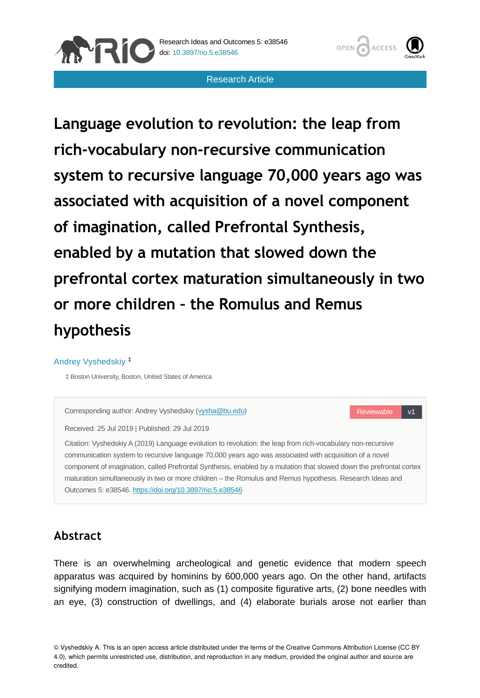



Research Article

**Language evolution to revolution: the leap from rich-vocabulary non-recursive communication system to recursive language 70,000 years ago was associated with acquisition of a novel component of imagination, called Prefrontal Synthesis, enabled by a mutation that slowed down the prefrontal cortex maturation simultaneously in two or more children – the Romulus and Remus hypothesis**

#### Andrey Vyshedskiy ‡

‡ Boston University, Boston, United States of America



# **Abstract**

There is an overwhelming archeological and genetic evidence that modern speech apparatus was acquired by hominins by 600,000 years ago. On the other hand, artifacts signifying modern imagination, such as (1) composite figurative arts, (2) bone needles with an eye, (3) construction of dwellings, and (4) elaborate burials arose not earlier than

© Vyshedskiy A. This is an open access article distributed under the terms of the Creative Commons Attribution License (CC BY 4.0), which permits unrestricted use, distribution, and reproduction in any medium, provided the original author and source are credited.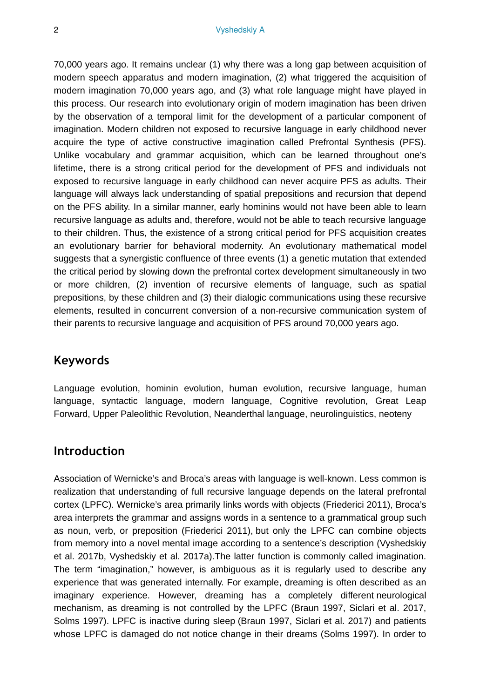70,000 years ago. It remains unclear (1) why there was a long gap between acquisition of modern speech apparatus and modern imagination, (2) what triggered the acquisition of modern imagination 70,000 years ago, and (3) what role language might have played in this process. Our research into evolutionary origin of modern imagination has been driven by the observation of a temporal limit for the development of a particular component of imagination. Modern children not exposed to recursive language in early childhood never acquire the type of active constructive imagination called Prefrontal Synthesis (PFS). Unlike vocabulary and grammar acquisition, which can be learned throughout one's lifetime, there is a strong critical period for the development of PFS and individuals not exposed to recursive language in early childhood can never acquire PFS as adults. Their language will always lack understanding of spatial prepositions and recursion that depend on the PFS ability. In a similar manner, early hominins would not have been able to learn recursive language as adults and, therefore, would not be able to teach recursive language to their children. Thus, the existence of a strong critical period for PFS acquisition creates an evolutionary barrier for behavioral modernity. An evolutionary mathematical model suggests that a synergistic confluence of three events (1) a genetic mutation that extended the critical period by slowing down the prefrontal cortex development simultaneously in two or more children, (2) invention of recursive elements of language, such as spatial prepositions, by these children and (3) their dialogic communications using these recursive elements, resulted in concurrent conversion of a non-recursive communication system of their parents to recursive language and acquisition of PFS around 70,000 years ago.

## **Keywords**

Language evolution, hominin evolution, human evolution, recursive language, human language, syntactic language, modern language, Cognitive revolution, Great Leap Forward, Upper Paleolithic Revolution, Neanderthal language, neurolinguistics, neoteny

## **Introduction**

Association of Wernicke's and Broca's areas with language is well-known. Less common is realization that understanding of full recursive language depends on the lateral prefrontal cortex (LPFC). Wernicke's area primarily links words with objects (Friederici 2011), Broca's area interprets the grammar and assigns words in a sentence to a grammatical group such as noun, verb, or preposition (Friederici 2011), but only the LPFC can combine objects from memory into a novel mental image according to a sentence's description (Vyshedskiy et al. 2017b, Vyshedskiy et al. 2017a).The latter function is commonly called imagination. The term "imagination," however, is ambiguous as it is regularly used to describe any experience that was generated internally. For example, dreaming is often described as an imaginary experience. However, dreaming has a completely different neurological mechanism, as dreaming is not controlled by the LPFC (Braun 1997, Siclari et al. 2017, Solms 1997). LPFC is inactive during sleep (Braun 1997, Siclari et al. 2017) and patients whose LPFC is damaged do not notice change in their dreams (Solms 1997). In order to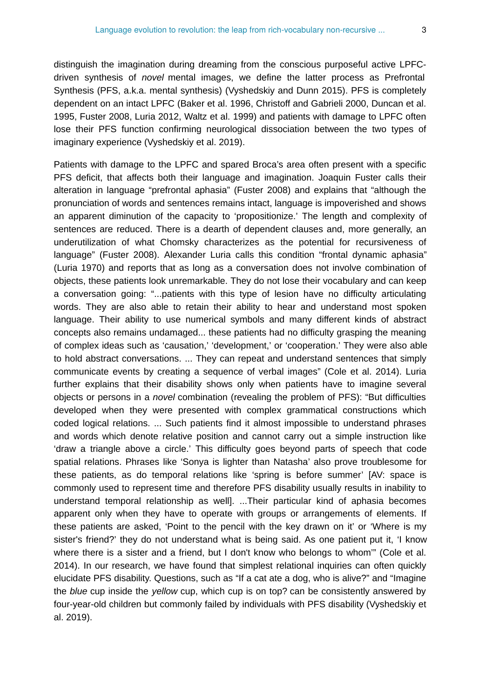distinguish the imagination during dreaming from the conscious purposeful active LPFCdriven synthesis of *novel* mental images, we define the latter process as Prefrontal Synthesis (PFS, a.k.a. mental synthesis) (Vyshedskiy and Dunn 2015). PFS is completely dependent on an intact LPFC (Baker et al. 1996, Christoff and Gabrieli 2000, Duncan et al. 1995, Fuster 2008, Luria 2012, Waltz et al. 1999) and patients with damage to LPFC often lose their PFS function confirming neurological dissociation between the two types of imaginary experience (Vyshedskiy et al. 2019).

Patients with damage to the LPFC and spared Broca's area often present with a specific PFS deficit, that affects both their language and imagination. Joaquin Fuster calls their alteration in language "prefrontal aphasia" (Fuster 2008) and explains that "although the pronunciation of words and sentences remains intact, language is impoverished and shows an apparent diminution of the capacity to 'propositionize.' The length and complexity of sentences are reduced. There is a dearth of dependent clauses and, more generally, an underutilization of what Chomsky characterizes as the potential for recursiveness of language" (Fuster 2008). Alexander Luria calls this condition "frontal dynamic aphasia" (Luria 1970) and reports that as long as a conversation does not involve combination of objects, these patients look unremarkable. They do not lose their vocabulary and can keep a conversation going: "...patients with this type of lesion have no difficulty articulating words. They are also able to retain their ability to hear and understand most spoken language. Their ability to use numerical symbols and many different kinds of abstract concepts also remains undamaged... these patients had no difficulty grasping the meaning of complex ideas such as 'causation,' 'development,' or 'cooperation.' They were also able to hold abstract conversations. ... They can repeat and understand sentences that simply communicate events by creating a sequence of verbal images" (Cole et al. 2014). Luria further explains that their disability shows only when patients have to imagine several objects or persons in a *novel* combination (revealing the problem of PFS): "But difficulties developed when they were presented with complex grammatical constructions which coded logical relations. ... Such patients find it almost impossible to understand phrases and words which denote relative position and cannot carry out a simple instruction like 'draw a triangle above a circle.' This difficulty goes beyond parts of speech that code spatial relations. Phrases like 'Sonya is lighter than Natasha' also prove troublesome for these patients, as do temporal relations like 'spring is before summer' [AV: space is commonly used to represent time and therefore PFS disability usually results in inability to understand temporal relationship as well]. ...Their particular kind of aphasia becomes apparent only when they have to operate with groups or arrangements of elements. If these patients are asked, 'Point to the pencil with the key drawn on it' or 'Where is my sister's friend?' they do not understand what is being said. As one patient put it, 'I know where there is a sister and a friend, but I don't know who belongs to whom"" (Cole et al. 2014). In our research, we have found that simplest relational inquiries can often quickly elucidate PFS disability. Questions, such as "If a cat ate a dog, who is alive?" and "Imagine the *blue* cup inside the *yellow* cup, which cup is on top? can be consistently answered by four-year-old children but commonly failed by individuals with PFS disability (Vyshedskiy et al. 2019).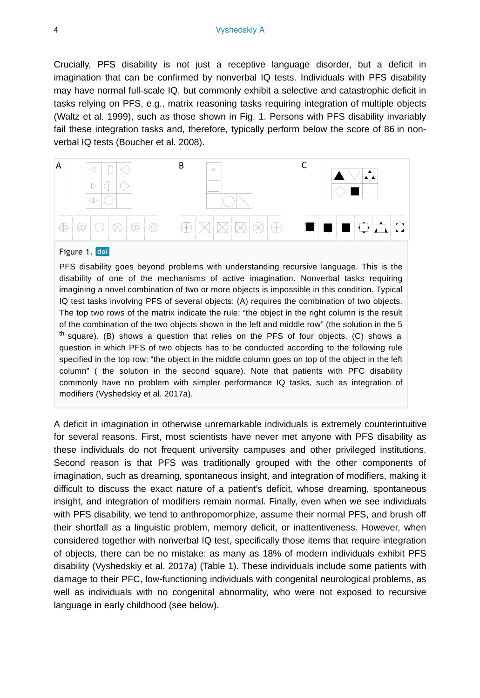Crucially, PFS disability is not just a receptive language disorder, but a deficit in imagination that can be confirmed by nonverbal IQ tests. Individuals with PFS disability may have normal full-scale IQ, but commonly exhibit a selective and catastrophic deficit in tasks relying on PFS, e.g., matrix reasoning tasks requiring integration of multiple objects (Waltz et al. 1999), such as those shown in Fig. 1. Persons with PFS disability invariably fail these integration tasks and, therefore, typically perform below the score of 86 in nonverbal IQ tests (Boucher et al. 2008).



#### Figure 1. doi

PFS disability goes beyond problems with understanding recursive language. This is the disability of one of the mechanisms of active imagination. Nonverbal tasks requiring imagining a novel combination of two or more objects is impossible in this condition. Typical IQ test tasks involving PFS of several objects: (A) requires the combination of two objects. The top two rows of the matrix indicate the rule: "the object in the right column is the result of the combination of the two objects shown in the left and middle row" (the solution in the 5 <sup>th</sup> square). (B) shows a question that relies on the PFS of four objects. (C) shows a question in which PFS of two objects has to be conducted according to the following rule specified in the top row: "the object in the middle column goes on top of the object in the left column" ( the solution in the second square). Note that patients with PFC disability commonly have no problem with simpler performance IQ tasks, such as integration of modifiers (Vyshedskiy et al. 2017a).

A deficit in imagination in otherwise unremarkable individuals is extremely counterintuitive for several reasons. First, most scientists have never met anyone with PFS disability as these individuals do not frequent university campuses and other privileged institutions. Second reason is that PFS was traditionally grouped with the other components of imagination, such as dreaming, spontaneous insight, and integration of modifiers, making it difficult to discuss the exact nature of a patient's deficit, whose dreaming, spontaneous insight, and integration of modifiers remain normal. Finally, even when we see individuals with PFS disability, we tend to anthropomorphize, assume their normal PFS, and brush off their shortfall as a linguistic problem, memory deficit, or inattentiveness. However, when considered together with nonverbal IQ test, specifically those items that require integration of objects, there can be no mistake: as many as 18% of modern individuals exhibit PFS disability (Vyshedskiy et al. 2017a) (Table 1). These individuals include some patients with damage to their PFC, low-functioning individuals with congenital neurological problems, as well as individuals with no congenital abnormality, who were not exposed to recursive language in early childhood (see below).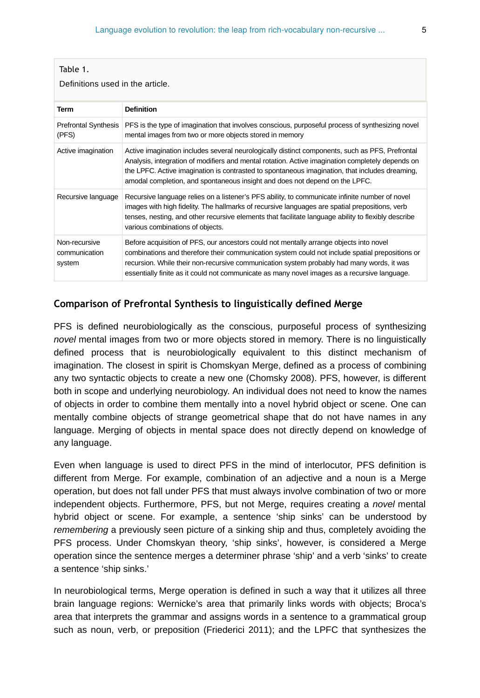Definitions used in the article.

| Term                                     | <b>Definition</b>                                                                                                                                                                                                                                                                                                                                                                      |
|------------------------------------------|----------------------------------------------------------------------------------------------------------------------------------------------------------------------------------------------------------------------------------------------------------------------------------------------------------------------------------------------------------------------------------------|
| <b>Prefrontal Synthesis</b><br>(PFS)     | PFS is the type of imagination that involves conscious, purposeful process of synthesizing novel<br>mental images from two or more objects stored in memory                                                                                                                                                                                                                            |
| Active imagination                       | Active imagination includes several neurologically distinct components, such as PFS, Prefrontal<br>Analysis, integration of modifiers and mental rotation. Active imagination completely depends on<br>the LPFC. Active imagination is contrasted to spontaneous imagination, that includes dreaming,<br>amodal completion, and spontaneous insight and does not depend on the LPFC.   |
| Recursive language                       | Recursive language relies on a listener's PFS ability, to communicate infinite number of novel<br>images with high fidelity. The hallmarks of recursive languages are spatial prepositions, verb<br>tenses, nesting, and other recursive elements that facilitate language ability to flexibly describe<br>various combinations of objects.                                            |
| Non-recursive<br>communication<br>system | Before acquisition of PFS, our ancestors could not mentally arrange objects into novel<br>combinations and therefore their communication system could not include spatial prepositions or<br>recursion. While their non-recursive communication system probably had many words, it was<br>essentially finite as it could not communicate as many novel images as a recursive language. |

## **Comparison of Prefrontal Synthesis to linguistically defined Merge**

PFS is defined neurobiologically as the conscious, purposeful process of synthesizing *novel* mental images from two or more objects stored in memory. There is no linguistically defined process that is neurobiologically equivalent to this distinct mechanism of imagination. The closest in spirit is Chomskyan Merge, defined as a process of combining any two syntactic objects to create a new one (Chomsky 2008). PFS, however, is different both in scope and underlying neurobiology. An individual does not need to know the names of objects in order to combine them mentally into a novel hybrid object or scene. One can mentally combine objects of strange geometrical shape that do not have names in any language. Merging of objects in mental space does not directly depend on knowledge of any language.

Even when language is used to direct PFS in the mind of interlocutor, PFS definition is different from Merge. For example, combination of an adjective and a noun is a Merge operation, but does not fall under PFS that must always involve combination of two or more independent objects. Furthermore, PFS, but not Merge, requires creating a *novel* mental hybrid object or scene. For example, a sentence 'ship sinks' can be understood by *remembering* a previously seen picture of a sinking ship and thus, completely avoiding the PFS process. Under Chomskyan theory, 'ship sinks', however, is considered a Merge operation since the sentence merges a determiner phrase 'ship' and a verb 'sinks' to create a sentence 'ship sinks.'

In neurobiological terms, Merge operation is defined in such a way that it utilizes all three brain language regions: Wernicke's area that primarily links words with objects; Broca's area that interprets the grammar and assigns words in a sentence to a grammatical group such as noun, verb, or preposition (Friederici 2011); and the LPFC that synthesizes the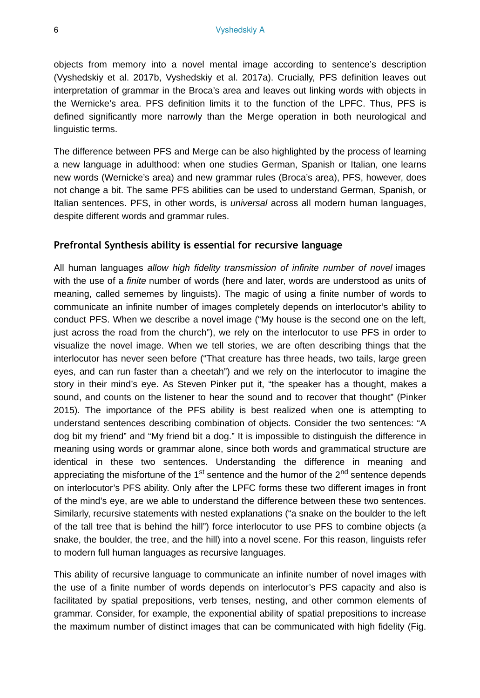objects from memory into a novel mental image according to sentence's description (Vyshedskiy et al. 2017b, Vyshedskiy et al. 2017a). Crucially, PFS definition leaves out interpretation of grammar in the Broca's area and leaves out linking words with objects in the Wernicke's area. PFS definition limits it to the function of the LPFC. Thus, PFS is defined significantly more narrowly than the Merge operation in both neurological and linguistic terms.

The difference between PFS and Merge can be also highlighted by the process of learning a new language in adulthood: when one studies German, Spanish or Italian, one learns new words (Wernicke's area) and new grammar rules (Broca's area), PFS, however, does not change a bit. The same PFS abilities can be used to understand German, Spanish, or Italian sentences. PFS, in other words, is *universal* across all modern human languages, despite different words and grammar rules.

#### **Prefrontal Synthesis ability is essential for recursive language**

All human languages *allow high fidelity transmission of infinite number of novel* images with the use of a *finite* number of words (here and later, words are understood as units of meaning, called sememes by linguists). The magic of using a finite number of words to communicate an infinite number of images completely depends on interlocutor's ability to conduct PFS. When we describe a novel image ("My house is the second one on the left, just across the road from the church"), we rely on the interlocutor to use PFS in order to visualize the novel image. When we tell stories, we are often describing things that the interlocutor has never seen before ("That creature has three heads, two tails, large green eyes, and can run faster than a cheetah") and we rely on the interlocutor to imagine the story in their mind's eye. As Steven Pinker put it, "the speaker has a thought, makes a sound, and counts on the listener to hear the sound and to recover that thought" (Pinker 2015). The importance of the PFS ability is best realized when one is attempting to understand sentences describing combination of objects. Consider the two sentences: "A dog bit my friend" and "My friend bit a dog." It is impossible to distinguish the difference in meaning using words or grammar alone, since both words and grammatical structure are identical in these two sentences. Understanding the difference in meaning and appreciating the misfortune of the 1<sup>st</sup> sentence and the humor of the 2<sup>nd</sup> sentence depends on interlocutor's PFS ability. Only after the LPFC forms these two different images in front of the mind's eye, are we able to understand the difference between these two sentences. Similarly, recursive statements with nested explanations ("a snake on the boulder to the left of the tall tree that is behind the hill") force interlocutor to use PFS to combine objects (a snake, the boulder, the tree, and the hill) into a novel scene. For this reason, linguists refer to modern full human languages as recursive languages.

This ability of recursive language to communicate an infinite number of novel images with the use of a finite number of words depends on interlocutor's PFS capacity and also is facilitated by spatial prepositions, verb tenses, nesting, and other common elements of grammar. Consider, for example, the exponential ability of spatial prepositions to increase the maximum number of distinct images that can be communicated with high fidelity (Fig.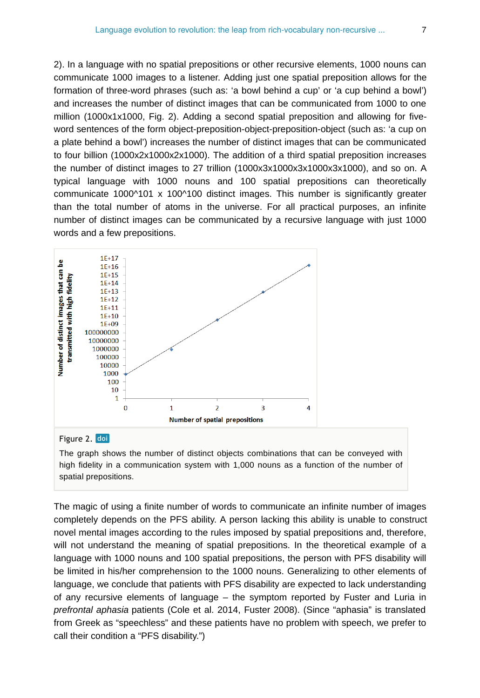2). In a language with no spatial prepositions or other recursive elements, 1000 nouns can communicate 1000 images to a listener. Adding just one spatial preposition allows for the formation of three-word phrases (such as: 'a bowl behind a cup' or 'a cup behind a bowl') and increases the number of distinct images that can be communicated from 1000 to one million (1000x1x1000, Fig. 2). Adding a second spatial preposition and allowing for fiveword sentences of the form object-preposition-object-preposition-object (such as: 'a cup on a plate behind a bowl') increases the number of distinct images that can be communicated to four billion (1000x2x1000x2x1000). The addition of a third spatial preposition increases the number of distinct images to 27 trillion (1000x3x1000x3x1000x3x1000), and so on. A typical language with 1000 nouns and 100 spatial prepositions can theoretically communicate  $1000^{\circ}101 \times 100^{\circ}100$  distinct images. This number is significantly greater than the total number of atoms in the universe. For all practical purposes, an infinite number of distinct images can be communicated by a recursive language with just 1000 words and a few prepositions.



#### Figure 2. doi

The graph shows the number of distinct objects combinations that can be conveyed with high fidelity in a communication system with 1,000 nouns as a function of the number of spatial prepositions.

The magic of using a finite number of words to communicate an infinite number of images completely depends on the PFS ability. A person lacking this ability is unable to construct novel mental images according to the rules imposed by spatial prepositions and, therefore, will not understand the meaning of spatial prepositions. In the theoretical example of a language with 1000 nouns and 100 spatial prepositions, the person with PFS disability will be limited in his/her comprehension to the 1000 nouns. Generalizing to other elements of language, we conclude that patients with PFS disability are expected to lack understanding of any recursive elements of language – the symptom reported by Fuster and Luria in *prefrontal aphasia* patients (Cole et al. 2014, Fuster 2008). (Since "aphasia" is translated from Greek as "speechless" and these patients have no problem with speech, we prefer to call their condition a "PFS disability.")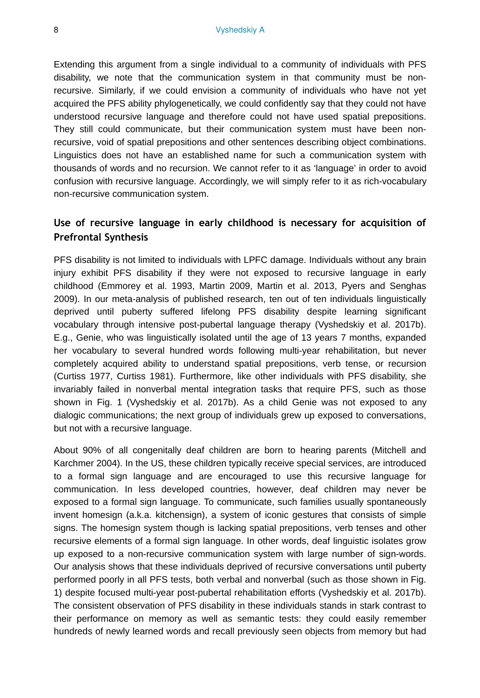Extending this argument from a single individual to a community of individuals with PFS disability, we note that the communication system in that community must be nonrecursive. Similarly, if we could envision a community of individuals who have not yet acquired the PFS ability phylogenetically, we could confidently say that they could not have understood recursive language and therefore could not have used spatial prepositions. They still could communicate, but their communication system must have been nonrecursive, void of spatial prepositions and other sentences describing object combinations. Linguistics does not have an established name for such a communication system with thousands of words and no recursion. We cannot refer to it as 'language' in order to avoid confusion with recursive language. Accordingly, we will simply refer to it as rich-vocabulary non-recursive communication system.

## **Use of recursive language in early childhood is necessary for acquisition of Prefrontal Synthesis**

PFS disability is not limited to individuals with LPFC damage. Individuals without any brain injury exhibit PFS disability if they were not exposed to recursive language in early childhood (Emmorey et al. 1993, Martin 2009, Martin et al. 2013, Pyers and Senghas 2009). In our meta-analysis of published research, ten out of ten individuals linguistically deprived until puberty suffered lifelong PFS disability despite learning significant vocabulary through intensive post-pubertal language therapy (Vyshedskiy et al. 2017b). E.g., Genie, who was linguistically isolated until the age of 13 years 7 months, expanded her vocabulary to several hundred words following multi-year rehabilitation, but never completely acquired ability to understand spatial prepositions, verb tense, or recursion (Curtiss 1977, Curtiss 1981). Furthermore, like other individuals with PFS disability, she invariably failed in nonverbal mental integration tasks that require PFS, such as those shown in Fig. 1 (Vyshedskiy et al. 2017b). As a child Genie was not exposed to any dialogic communications; the next group of individuals grew up exposed to conversations, but not with a recursive language.

About 90% of all congenitally deaf children are born to hearing parents (Mitchell and Karchmer 2004). In the US, these children typically receive special services, are introduced to a formal sign language and are encouraged to use this recursive language for communication. In less developed countries, however, deaf children may never be exposed to a formal sign language. To communicate, such families usually spontaneously invent homesign (a.k.a. kitchensign), a system of iconic gestures that consists of simple signs. The homesign system though is lacking spatial prepositions, verb tenses and other recursive elements of a formal sign language. In other words, deaf linguistic isolates grow up exposed to a non-recursive communication system with large number of sign-words. Our analysis shows that these individuals deprived of recursive conversations until puberty performed poorly in all PFS tests, both verbal and nonverbal (such as those shown in Fig. 1) despite focused multi-year post-pubertal rehabilitation efforts (Vyshedskiy et al. 2017b). The consistent observation of PFS disability in these individuals stands in stark contrast to their performance on memory as well as semantic tests: they could easily remember hundreds of newly learned words and recall previously seen objects from memory but had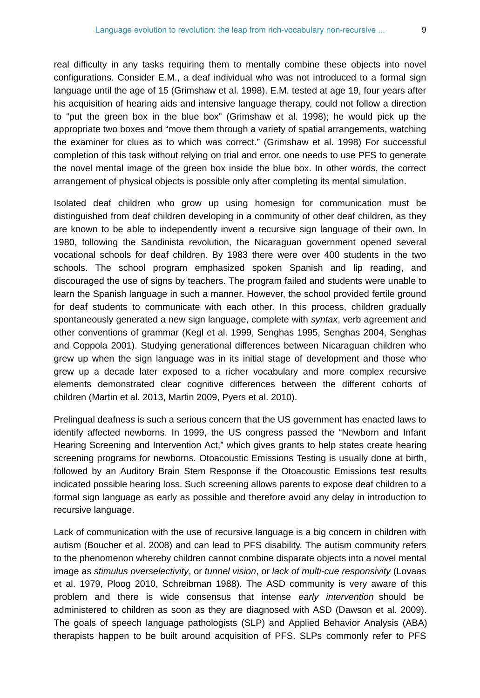real difficulty in any tasks requiring them to mentally combine these objects into novel configurations. Consider E.M., a deaf individual who was not introduced to a formal sign language until the age of 15 (Grimshaw et al. 1998). E.M. tested at age 19, four years after his acquisition of hearing aids and intensive language therapy, could not follow a direction to "put the green box in the blue box" (Grimshaw et al. 1998); he would pick up the appropriate two boxes and "move them through a variety of spatial arrangements, watching the examiner for clues as to which was correct." (Grimshaw et al. 1998) For successful completion of this task without relying on trial and error, one needs to use PFS to generate the novel mental image of the green box inside the blue box. In other words, the correct arrangement of physical objects is possible only after completing its mental simulation.

Isolated deaf children who grow up using homesign for communication must be distinguished from deaf children developing in a community of other deaf children, as they are known to be able to independently invent a recursive sign language of their own. In 1980, following the Sandinista revolution, the Nicaraguan government opened several vocational schools for deaf children. By 1983 there were over 400 students in the two schools. The school program emphasized spoken Spanish and lip reading, and discouraged the use of signs by teachers. The program failed and students were unable to learn the Spanish language in such a manner. However, the school provided fertile ground for deaf students to communicate with each other. In this process, children gradually spontaneously generated a new sign language, complete with *syntax*, verb agreement and other conventions of grammar (Kegl et al. 1999, Senghas 1995, Senghas 2004, Senghas and Coppola 2001). Studying generational differences between Nicaraguan children who grew up when the sign language was in its initial stage of development and those who grew up a decade later exposed to a richer vocabulary and more complex recursive elements demonstrated clear cognitive differences between the different cohorts of children (Martin et al. 2013, Martin 2009, Pyers et al. 2010).

Prelingual deafness is such a serious concern that the US government has enacted laws to identify affected newborns. In 1999, the US congress passed the "Newborn and Infant Hearing Screening and Intervention Act," which gives grants to help states create hearing screening programs for newborns. Otoacoustic Emissions Testing is usually done at birth, followed by an Auditory Brain Stem Response if the Otoacoustic Emissions test results indicated possible hearing loss. Such screening allows parents to expose deaf children to a formal sign language as early as possible and therefore avoid any delay in introduction to recursive language.

Lack of communication with the use of recursive language is a big concern in children with autism (Boucher et al. 2008) and can lead to PFS disability. The autism community refers to the phenomenon whereby children cannot combine disparate objects into a novel mental image as *stimulus overselectivity*, or *tunnel vision*, or *lack of multi-cue responsivity* (Lovaas et al. 1979, Ploog 2010, Schreibman 1988). The ASD community is very aware of this problem and there is wide consensus that intense *early intervention* should be administered to children as soon as they are diagnosed with ASD (Dawson et al. 2009). The goals of speech language pathologists (SLP) and Applied Behavior Analysis (ABA) therapists happen to be built around acquisition of PFS. SLPs commonly refer to PFS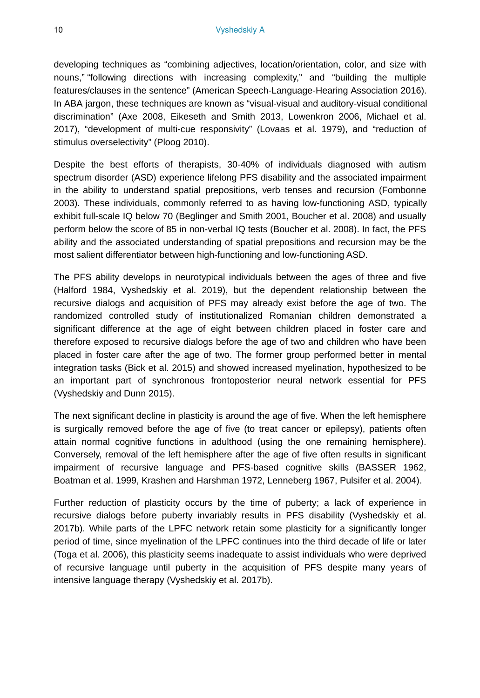developing techniques as "combining adjectives, location/orientation, color, and size with nouns," "following directions with increasing complexity," and "building the multiple features/clauses in the sentence" (American Speech-Language-Hearing Association 2016). In ABA jargon, these techniques are known as "visual-visual and auditory-visual conditional discrimination" (Axe 2008, Eikeseth and Smith 2013, Lowenkron 2006, Michael et al. 2017), "development of multi-cue responsivity" (Lovaas et al. 1979), and "reduction of stimulus overselectivity" (Ploog 2010).

Despite the best efforts of therapists, 30-40% of individuals diagnosed with autism spectrum disorder (ASD) experience lifelong PFS disability and the associated impairment in the ability to understand spatial prepositions, verb tenses and recursion (Fombonne 2003). These individuals, commonly referred to as having low-functioning ASD, typically exhibit full-scale IQ below 70 (Beglinger and Smith 2001, Boucher et al. 2008) and usually perform below the score of 85 in non-verbal IQ tests (Boucher et al. 2008). In fact, the PFS ability and the associated understanding of spatial prepositions and recursion may be the most salient differentiator between high-functioning and low-functioning ASD.

The PFS ability develops in neurotypical individuals between the ages of three and five (Halford 1984, Vyshedskiy et al. 2019), but the dependent relationship between the recursive dialogs and acquisition of PFS may already exist before the age of two. The randomized controlled study of institutionalized Romanian children demonstrated a significant difference at the age of eight between children placed in foster care and therefore exposed to recursive dialogs before the age of two and children who have been placed in foster care after the age of two. The former group performed better in mental integration tasks (Bick et al. 2015) and showed increased myelination, hypothesized to be an important part of synchronous frontoposterior neural network essential for PFS (Vyshedskiy and Dunn 2015).

The next significant decline in plasticity is around the age of five. When the left hemisphere is surgically removed before the age of five (to treat cancer or epilepsy), patients often attain normal cognitive functions in adulthood (using the one remaining hemisphere). Conversely, removal of the left hemisphere after the age of five often results in significant impairment of recursive language and PFS-based cognitive skills (BASSER 1962, Boatman et al. 1999, Krashen and Harshman 1972, Lenneberg 1967, Pulsifer et al. 2004).

Further reduction of plasticity occurs by the time of puberty; a lack of experience in recursive dialogs before puberty invariably results in PFS disability (Vyshedskiy et al. 2017b). While parts of the LPFC network retain some plasticity for a significantly longer period of time, since myelination of the LPFC continues into the third decade of life or later (Toga et al. 2006), this plasticity seems inadequate to assist individuals who were deprived of recursive language until puberty in the acquisition of PFS despite many years of intensive language therapy (Vyshedskiy et al. 2017b).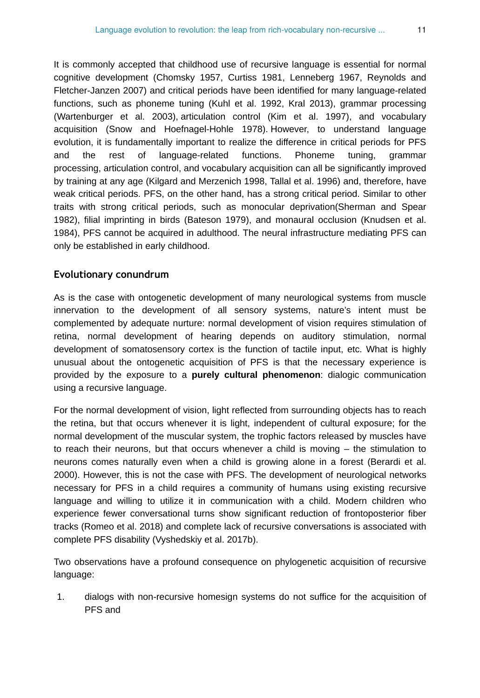It is commonly accepted that childhood use of recursive language is essential for normal cognitive development (Chomsky 1957, Curtiss 1981, Lenneberg 1967, Reynolds and Fletcher-Janzen 2007) and critical periods have been identified for many language-related functions, such as phoneme tuning (Kuhl et al. 1992, Kral 2013), grammar processing (Wartenburger et al. 2003), articulation control (Kim et al. 1997), and vocabulary acquisition (Snow and Hoefnagel-Hohle 1978). However, to understand language evolution, it is fundamentally important to realize the difference in critical periods for PFS and the rest of language-related functions. Phoneme tuning, grammar processing, articulation control, and vocabulary acquisition can all be significantly improved by training at any age (Kilgard and Merzenich 1998, Tallal et al. 1996) and, therefore, have weak critical periods. PFS, on the other hand, has a strong critical period. Similar to other traits with strong critical periods, such as monocular deprivation(Sherman and Spear 1982), filial imprinting in birds (Bateson 1979), and monaural occlusion (Knudsen et al. 1984), PFS cannot be acquired in adulthood. The neural infrastructure mediating PFS can only be established in early childhood.

#### **Evolutionary conundrum**

As is the case with ontogenetic development of many neurological systems from muscle innervation to the development of all sensory systems, nature's intent must be complemented by adequate nurture: normal development of vision requires stimulation of retina, normal development of hearing depends on auditory stimulation, normal development of somatosensory cortex is the function of tactile input, etc. What is highly unusual about the ontogenetic acquisition of PFS is that the necessary experience is provided by the exposure to a **purely cultural phenomenon**: dialogic communication using a recursive language.

For the normal development of vision, light reflected from surrounding objects has to reach the retina, but that occurs whenever it is light, independent of cultural exposure; for the normal development of the muscular system, the trophic factors released by muscles have to reach their neurons, but that occurs whenever a child is moving – the stimulation to neurons comes naturally even when a child is growing alone in a forest (Berardi et al. 2000). However, this is not the case with PFS. The development of neurological networks necessary for PFS in a child requires a community of humans using existing recursive language and willing to utilize it in communication with a child. Modern children who experience fewer conversational turns show significant reduction of frontoposterior fiber tracks (Romeo et al. 2018) and complete lack of recursive conversations is associated with complete PFS disability (Vyshedskiy et al. 2017b).

Two observations have a profound consequence on phylogenetic acquisition of recursive language:

1. dialogs with non-recursive homesign systems do not suffice for the acquisition of PFS and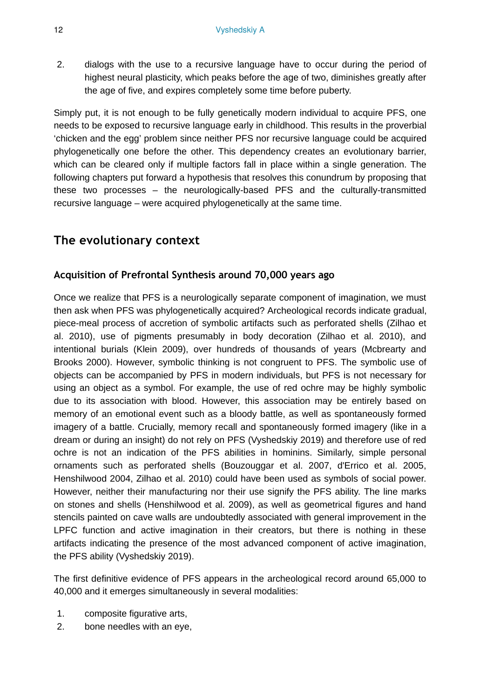2. dialogs with the use to a recursive language have to occur during the period of highest neural plasticity, which peaks before the age of two, diminishes greatly after the age of five, and expires completely some time before puberty.

Simply put, it is not enough to be fully genetically modern individual to acquire PFS, one needs to be exposed to recursive language early in childhood. This results in the proverbial 'chicken and the egg' problem since neither PFS nor recursive language could be acquired phylogenetically one before the other. This dependency creates an evolutionary barrier, which can be cleared only if multiple factors fall in place within a single generation. The following chapters put forward a hypothesis that resolves this conundrum by proposing that these two processes – the neurologically-based PFS and the culturally-transmitted recursive language – were acquired phylogenetically at the same time.

# **The evolutionary context**

## **Acquisition of Prefrontal Synthesis around 70,000 years ago**

Once we realize that PFS is a neurologically separate component of imagination, we must then ask when PFS was phylogenetically acquired? Archeological records indicate gradual, piece-meal process of accretion of symbolic artifacts such as perforated shells (Zilhao et al. 2010), use of pigments presumably in body decoration (Zilhao et al. 2010), and intentional burials (Klein 2009), over hundreds of thousands of years (Mcbrearty and Brooks 2000). However, symbolic thinking is not congruent to PFS. The symbolic use of objects can be accompanied by PFS in modern individuals, but PFS is not necessary for using an object as a symbol. For example, the use of red ochre may be highly symbolic due to its association with blood. However, this association may be entirely based on memory of an emotional event such as a bloody battle, as well as spontaneously formed imagery of a battle. Crucially, memory recall and spontaneously formed imagery (like in a dream or during an insight) do not rely on PFS (Vyshedskiy 2019) and therefore use of red ochre is not an indication of the PFS abilities in hominins. Similarly, simple personal ornaments such as perforated shells (Bouzouggar et al. 2007, d'Errico et al. 2005, Henshilwood 2004, Zilhao et al. 2010) could have been used as symbols of social power. However, neither their manufacturing nor their use signify the PFS ability. The line marks on stones and shells (Henshilwood et al. 2009), as well as geometrical figures and hand stencils painted on cave walls are undoubtedly associated with general improvement in the LPFC function and active imagination in their creators, but there is nothing in these artifacts indicating the presence of the most advanced component of active imagination, the PFS ability (Vyshedskiy 2019).

The first definitive evidence of PFS appears in the archeological record around 65,000 to 40,000 and it emerges simultaneously in several modalities:

- 1. composite figurative arts,
- 2. bone needles with an eye,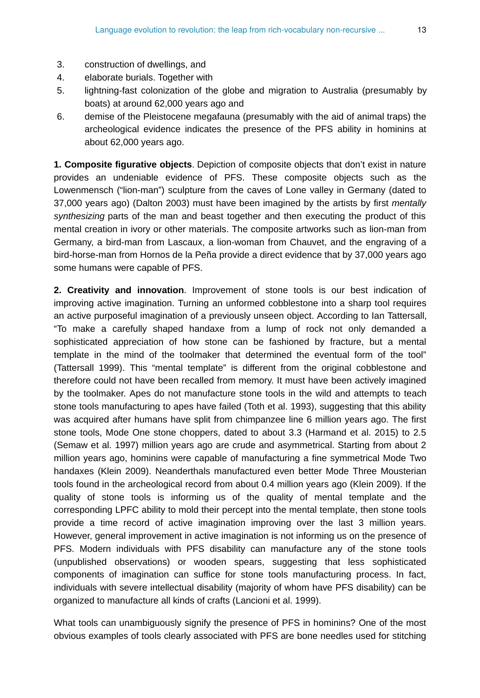- 3. construction of dwellings, and
- 4. elaborate burials. Together with
- 5. lightning-fast colonization of the globe and migration to Australia (presumably by boats) at around 62,000 years ago and
- 6. demise of the Pleistocene megafauna (presumably with the aid of animal traps) the archeological evidence indicates the presence of the PFS ability in hominins at about 62,000 years ago.

**1. Composite figurative objects**. Depiction of composite objects that don't exist in nature provides an undeniable evidence of PFS. These composite objects such as the Lowenmensch ("lion-man") sculpture from the caves of Lone valley in Germany (dated to 37,000 years ago) (Dalton 2003) must have been imagined by the artists by first *mentally synthesizing* parts of the man and beast together and then executing the product of this mental creation in ivory or other materials. The composite artworks such as lion-man from Germany, a bird-man from Lascaux, a lion-woman from Chauvet, and the engraving of a bird-horse-man from Hornos de la Peña provide a direct evidence that by 37,000 years ago some humans were capable of PFS.

**2. Creativity and innovation**. Improvement of stone tools is our best indication of improving active imagination. Turning an unformed cobblestone into a sharp tool requires an active purposeful imagination of a previously unseen object. According to Ian Tattersall, "To make a carefully shaped handaxe from a lump of rock not only demanded a sophisticated appreciation of how stone can be fashioned by fracture, but a mental template in the mind of the toolmaker that determined the eventual form of the tool" (Tattersall 1999). This "mental template" is different from the original cobblestone and therefore could not have been recalled from memory. It must have been actively imagined by the toolmaker. Apes do not manufacture stone tools in the wild and attempts to teach stone tools manufacturing to apes have failed (Toth et al. 1993), suggesting that this ability was acquired after humans have split from chimpanzee line 6 million years ago. The first stone tools, Mode One stone choppers, dated to about 3.3 (Harmand et al. 2015) to 2.5 (Semaw et al. 1997) million years ago are crude and asymmetrical. Starting from about 2 million years ago, hominins were capable of manufacturing a fine symmetrical Mode Two handaxes (Klein 2009). Neanderthals manufactured even better Mode Three Mousterian tools found in the archeological record from about 0.4 million years ago (Klein 2009). If the quality of stone tools is informing us of the quality of mental template and the corresponding LPFC ability to mold their percept into the mental template, then stone tools provide a time record of active imagination improving over the last 3 million years. However, general improvement in active imagination is not informing us on the presence of PFS. Modern individuals with PFS disability can manufacture any of the stone tools (unpublished observations) or wooden spears, suggesting that less sophisticated components of imagination can suffice for stone tools manufacturing process. In fact, individuals with severe intellectual disability (majority of whom have PFS disability) can be organized to manufacture all kinds of crafts (Lancioni et al. 1999).

What tools can unambiguously signify the presence of PFS in hominins? One of the most obvious examples of tools clearly associated with PFS are bone needles used for stitching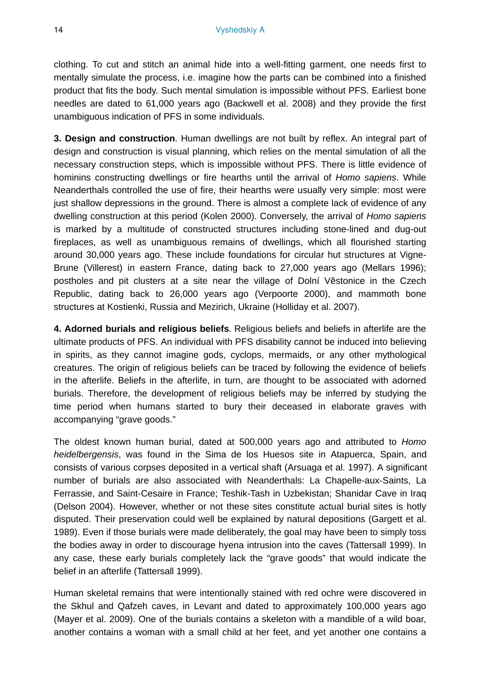clothing. To cut and stitch an animal hide into a well-fitting garment, one needs first to mentally simulate the process, i.e. imagine how the parts can be combined into a finished product that fits the body. Such mental simulation is impossible without PFS. Earliest bone needles are dated to 61,000 years ago (Backwell et al. 2008) and they provide the first unambiguous indication of PFS in some individuals.

**3. Design and construction**. Human dwellings are not built by reflex. An integral part of design and construction is visual planning, which relies on the mental simulation of all the necessary construction steps, which is impossible without PFS. There is little evidence of hominins constructing dwellings or fire hearths until the arrival of *Homo sapiens*. While Neanderthals controlled the use of fire, their hearths were usually very simple: most were just shallow depressions in the ground. There is almost a complete lack of evidence of any dwelling construction at this period (Kolen 2000). Conversely, the arrival of *Homo sapiens* is marked by a multitude of constructed structures including stone-lined and dug-out fireplaces, as well as unambiguous remains of dwellings, which all flourished starting around 30,000 years ago. These include foundations for circular hut structures at Vigne-Brune (Villerest) in eastern France, dating back to 27,000 years ago (Mellars 1996); postholes and pit clusters at a site near the village of Dolní Věstonice in the Czech Republic, dating back to 26,000 years ago (Verpoorte 2000), and mammoth bone structures at Kostienki, Russia and Mezirich, Ukraine (Holliday et al. 2007).

**4. Adorned burials and religious beliefs**. Religious beliefs and beliefs in afterlife are the ultimate products of PFS. An individual with PFS disability cannot be induced into believing in spirits, as they cannot imagine gods, cyclops, mermaids, or any other mythological creatures. The origin of religious beliefs can be traced by following the evidence of beliefs in the afterlife. Beliefs in the afterlife, in turn, are thought to be associated with adorned burials. Therefore, the development of religious beliefs may be inferred by studying the time period when humans started to bury their deceased in elaborate graves with accompanying "grave goods."

The oldest known human burial, dated at 500,000 years ago and attributed to *Homo heidelbergensis*, was found in the Sima de los Huesos site in Atapuerca, Spain, and consists of various corpses deposited in a vertical shaft (Arsuaga et al. 1997). A significant number of burials are also associated with Neanderthals: La Chapelle-aux-Saints, La Ferrassie, and Saint-Cesaire in France; Teshik-Tash in Uzbekistan; Shanidar Cave in Iraq (Delson 2004). However, whether or not these sites constitute actual burial sites is hotly disputed. Their preservation could well be explained by natural depositions (Gargett et al. 1989). Even if those burials were made deliberately, the goal may have been to simply toss the bodies away in order to discourage hyena intrusion into the caves (Tattersall 1999). In any case, these early burials completely lack the "grave goods" that would indicate the belief in an afterlife (Tattersall 1999).

Human skeletal remains that were intentionally stained with red ochre were discovered in the Skhul and Qafzeh caves, in Levant and dated to approximately 100,000 years ago (Mayer et al. 2009). One of the burials contains a skeleton with a mandible of a wild boar, another contains a woman with a small child at her feet, and yet another one contains a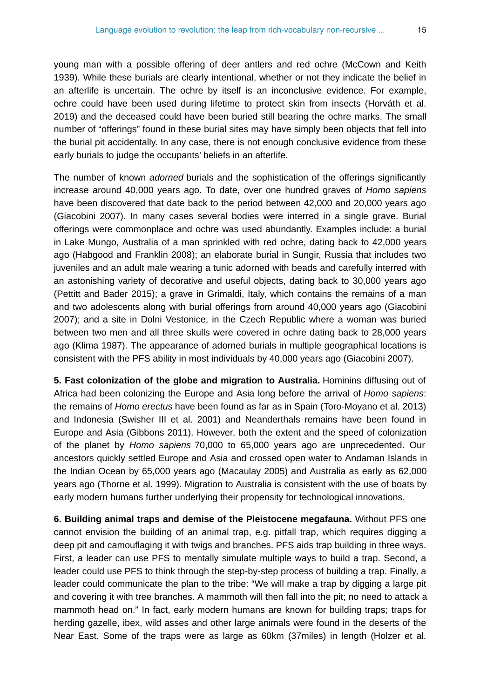young man with a possible offering of deer antlers and red ochre (McCown and Keith 1939). While these burials are clearly intentional, whether or not they indicate the belief in an afterlife is uncertain. The ochre by itself is an inconclusive evidence. For example, ochre could have been used during lifetime to protect skin from insects (Horváth et al. 2019) and the deceased could have been buried still bearing the ochre marks. The small number of "offerings" found in these burial sites may have simply been objects that fell into the burial pit accidentally. In any case, there is not enough conclusive evidence from these early burials to judge the occupants' beliefs in an afterlife.

The number of known *adorned* burials and the sophistication of the offerings significantly increase around 40,000 years ago. To date, over one hundred graves of *Homo sapiens* have been discovered that date back to the period between 42,000 and 20,000 years ago (Giacobini 2007). In many cases several bodies were interred in a single grave. Burial offerings were commonplace and ochre was used abundantly. Examples include: a burial in Lake Mungo, Australia of a man sprinkled with red ochre, dating back to 42,000 years ago (Habgood and Franklin 2008); an elaborate burial in Sungir, Russia that includes two juveniles and an adult male wearing a tunic adorned with beads and carefully interred with an astonishing variety of decorative and useful objects, dating back to 30,000 years ago (Pettitt and Bader 2015); a grave in Grimaldi, Italy, which contains the remains of a man and two adolescents along with burial offerings from around 40,000 years ago (Giacobini 2007); and a site in Dolni Vestonice, in the Czech Republic where a woman was buried between two men and all three skulls were covered in ochre dating back to 28,000 years ago (Klima 1987). The appearance of adorned burials in multiple geographical locations is consistent with the PFS ability in most individuals by 40,000 years ago (Giacobini 2007).

**5. Fast colonization of the globe and migration to Australia.** Hominins diffusing out of Africa had been colonizing the Europe and Asia long before the arrival of *Homo sapiens*: the remains of *Homo erectus* have been found as far as in Spain (Toro-Moyano et al. 2013) and Indonesia (Swisher III et al. 2001) and Neanderthals remains have been found in Europe and Asia (Gibbons 2011). However, both the extent and the speed of colonization of the planet by *Homo sapiens* 70,000 to 65,000 years ago are unprecedented. Our ancestors quickly settled Europe and Asia and crossed open water to Andaman Islands in the Indian Ocean by 65,000 years ago (Macaulay 2005) and Australia as early as 62,000 years ago (Thorne et al. 1999). Migration to Australia is consistent with the use of boats by early modern humans further underlying their propensity for technological innovations.

**6. Building animal traps and demise of the Pleistocene megafauna.** Without PFS one cannot envision the building of an animal trap, e.g. pitfall trap, which requires digging a deep pit and camouflaging it with twigs and branches. PFS aids trap building in three ways. First, a leader can use PFS to mentally simulate multiple ways to build a trap. Second, a leader could use PFS to think through the step-by-step process of building a trap. Finally, a leader could communicate the plan to the tribe: "We will make a trap by digging a large pit and covering it with tree branches. A mammoth will then fall into the pit; no need to attack a mammoth head on." In fact, early modern humans are known for building traps; traps for herding gazelle, ibex, wild asses and other large animals were found in the deserts of the Near East. Some of the traps were as large as 60km (37miles) in length (Holzer et al.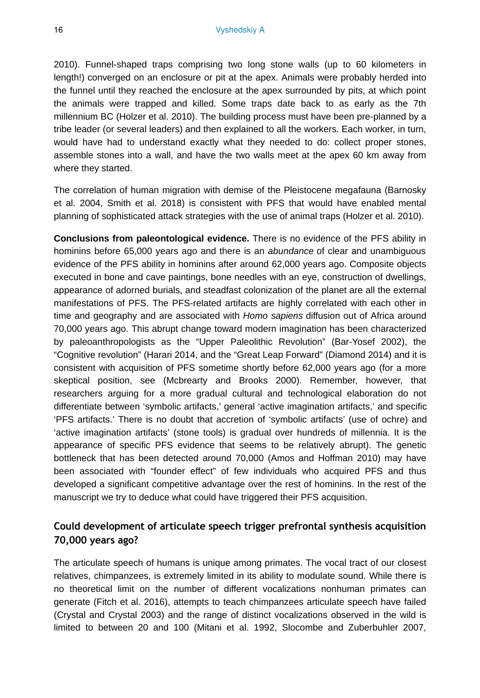2010). Funnel-shaped traps comprising two long stone walls (up to 60 kilometers in length!) converged on an enclosure or pit at the apex. Animals were probably herded into the funnel until they reached the enclosure at the apex surrounded by pits, at which point the animals were trapped and killed. Some traps date back to as early as the 7th millennium BC (Holzer et al. 2010). The building process must have been pre-planned by a tribe leader (or several leaders) and then explained to all the workers. Each worker, in turn, would have had to understand exactly what they needed to do: collect proper stones, assemble stones into a wall, and have the two walls meet at the apex 60 km away from where they started.

The correlation of human migration with demise of the Pleistocene megafauna (Barnosky et al. 2004, Smith et al. 2018) is consistent with PFS that would have enabled mental planning of sophisticated attack strategies with the use of animal traps (Holzer et al. 2010).

**Conclusions from paleontological evidence.** There is no evidence of the PFS ability in hominins before 65,000 years ago and there is an *abundance* of clear and unambiguous evidence of the PFS ability in hominins after around 62,000 years ago. Composite objects executed in bone and cave paintings, bone needles with an eye, construction of dwellings, appearance of adorned burials, and steadfast colonization of the planet are all the external manifestations of PFS. The PFS-related artifacts are highly correlated with each other in time and geography and are associated with *Homo sapiens* diffusion out of Africa around 70,000 years ago. This abrupt change toward modern imagination has been characterized by paleoanthropologists as the "Upper Paleolithic Revolution" (Bar-Yosef 2002), the "Cognitive revolution" (Harari 2014, and the "Great Leap Forward" (Diamond 2014) and it is consistent with acquisition of PFS sometime shortly before 62,000 years ago (for a more skeptical position, see (Mcbrearty and Brooks 2000). Remember, however, that researchers arguing for a more gradual cultural and technological elaboration do not differentiate between 'symbolic artifacts,' general 'active imagination artifacts,' and specific 'PFS artifacts.' There is no doubt that accretion of 'symbolic artifacts' (use of ochre) and 'active imagination artifacts' (stone tools) is gradual over hundreds of millennia. It is the appearance of specific PFS evidence that seems to be relatively abrupt). The genetic bottleneck that has been detected around 70,000 (Amos and Hoffman 2010) may have been associated with "founder effect" of few individuals who acquired PFS and thus developed a significant competitive advantage over the rest of hominins. In the rest of the manuscript we try to deduce what could have triggered their PFS acquisition.

## **Could development of articulate speech trigger prefrontal synthesis acquisition 70,000 years ago?**

The articulate speech of humans is unique among primates. The vocal tract of our closest relatives, chimpanzees, is extremely limited in its ability to modulate sound. While there is no theoretical limit on the number of different vocalizations nonhuman primates can generate (Fitch et al. 2016), attempts to teach chimpanzees articulate speech have failed (Crystal and Crystal 2003) and the range of distinct vocalizations observed in the wild is limited to between 20 and 100 (Mitani et al. 1992, Slocombe and Zuberbuhler 2007,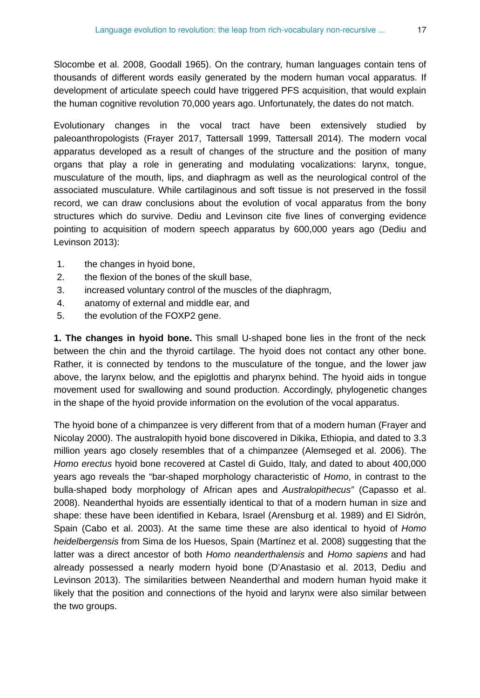Slocombe et al. 2008, Goodall 1965). On the contrary, human languages contain tens of thousands of different words easily generated by the modern human vocal apparatus. If development of articulate speech could have triggered PFS acquisition, that would explain the human cognitive revolution 70,000 years ago. Unfortunately, the dates do not match.

Evolutionary changes in the vocal tract have been extensively studied by paleoanthropologists (Frayer 2017, Tattersall 1999, Tattersall 2014). The modern vocal apparatus developed as a result of changes of the structure and the position of many organs that play a role in generating and modulating vocalizations: larynx, tongue, musculature of the mouth, lips, and diaphragm as well as the neurological control of the associated musculature. While cartilaginous and soft tissue is not preserved in the fossil record, we can draw conclusions about the evolution of vocal apparatus from the bony structures which do survive. Dediu and Levinson cite five lines of converging evidence pointing to acquisition of modern speech apparatus by 600,000 years ago (Dediu and Levinson 2013):

- 1. the changes in hyoid bone,
- 2. the flexion of the bones of the skull base,
- 3. increased voluntary control of the muscles of the diaphragm,
- 4. anatomy of external and middle ear, and
- 5. the evolution of the FOXP2 gene.

**1. The changes in hyoid bone.** This small U-shaped bone lies in the front of the neck between the chin and the thyroid cartilage. The hyoid does not contact any other bone. Rather, it is connected by tendons to the musculature of the tongue, and the lower jaw above, the larynx below, and the epiglottis and pharynx behind. The hyoid aids in tongue movement used for swallowing and sound production. Accordingly, phylogenetic changes in the shape of the hyoid provide information on the evolution of the vocal apparatus.

The hyoid bone of a chimpanzee is very different from that of a modern human (Frayer and Nicolay 2000). The australopith hyoid bone discovered in Dikika, Ethiopia, and dated to 3.3 million years ago closely resembles that of a chimpanzee (Alemseged et al. 2006). The *Homo erectus* hyoid bone recovered at Castel di Guido, Italy, and dated to about 400,000 years ago reveals the "bar-shaped morphology characteristic of *Homo*, in contrast to the bulla-shaped body morphology of African apes and *Australopithecus"* (Capasso et al. 2008). Neanderthal hyoids are essentially identical to that of a modern human in size and shape: these have been identified in Kebara, Israel (Arensburg et al. 1989) and El Sidrón, Spain (Cabo et al. 2003). At the same time these are also identical to hyoid of *Homo heidelbergensis* from Sima de los Huesos, Spain (Martínez et al. 2008) suggesting that the latter was a direct ancestor of both *Homo neanderthalensis* and *Homo sapiens* and had already possessed a nearly modern hyoid bone (D'Anastasio et al. 2013, Dediu and Levinson 2013). The similarities between Neanderthal and modern human hyoid make it likely that the position and connections of the hyoid and larynx were also similar between the two groups.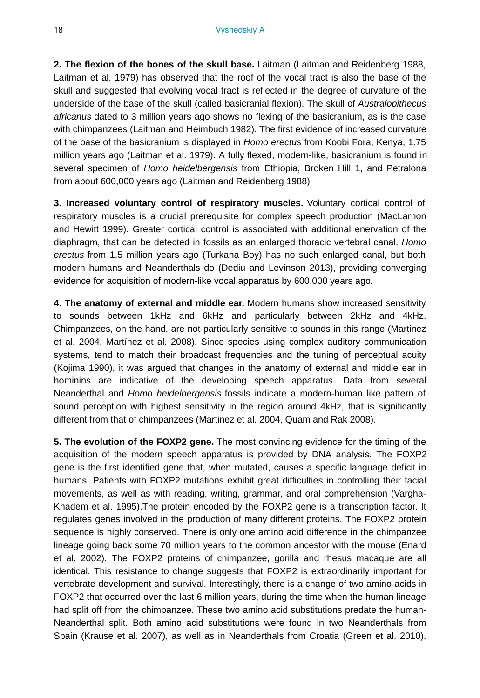**2. The flexion of the bones of the skull base.** Laitman (Laitman and Reidenberg 1988, Laitman et al. 1979) has observed that the roof of the vocal tract is also the base of the skull and suggested that evolving vocal tract is reflected in the degree of curvature of the underside of the base of the skull (called basicranial flexion). The skull of *Australopithecus africanus* dated to 3 million years ago shows no flexing of the basicranium, as is the case with chimpanzees (Laitman and Heimbuch 1982). The first evidence of increased curvature of the base of the basicranium is displayed in *Homo erectus* from Koobi Fora, Kenya, 1.75 million years ago (Laitman et al. 1979). A fully flexed, modern-like, basicranium is found in several specimen of *Homo heidelbergensis* from Ethiopia, Broken Hill 1, and Petralona from about 600,000 years ago (Laitman and Reidenberg 1988)*.*

**3. Increased voluntary control of respiratory muscles.** Voluntary cortical control of respiratory muscles is a crucial prerequisite for complex speech production (MacLarnon and Hewitt 1999). Greater cortical control is associated with additional enervation of the diaphragm, that can be detected in fossils as an enlarged thoracic vertebral canal. *Homo erectus* from 1.5 million years ago (Turkana Boy) has no such enlarged canal, but both modern humans and Neanderthals do (Dediu and Levinson 2013), providing converging evidence for acquisition of modern-like vocal apparatus by 600,000 years ago*.*

**4. The anatomy of external and middle ear.** Modern humans show increased sensitivity to sounds between 1kHz and 6kHz and particularly between 2kHz and 4kHz. Chimpanzees, on the hand, are not particularly sensitive to sounds in this range (Martinez et al. 2004, Martínez et al. 2008). Since species using complex auditory communication systems, tend to match their broadcast frequencies and the tuning of perceptual acuity (Kojima 1990), it was argued that changes in the anatomy of external and middle ear in hominins are indicative of the developing speech apparatus. Data from several Neanderthal and *Homo heidelbergensis* fossils indicate a modern-human like pattern of sound perception with highest sensitivity in the region around 4kHz, that is significantly different from that of chimpanzees (Martinez et al. 2004, Quam and Rak 2008).

**5. The evolution of the FOXP2 gene.** The most convincing evidence for the timing of the acquisition of the modern speech apparatus is provided by DNA analysis. The FOXP2 gene is the first identified gene that, when mutated, causes a specific language deficit in humans. Patients with FOXP2 mutations exhibit great difficulties in controlling their facial movements, as well as with reading, writing, grammar, and oral comprehension (Vargha-Khadem et al. 1995).The protein encoded by the FOXP2 gene is a transcription factor. It regulates genes involved in the production of many different proteins. The FOXP2 protein sequence is highly conserved. There is only one amino acid difference in the chimpanzee lineage going back some 70 million years to the common ancestor with the mouse (Enard et al. 2002). The FOXP2 proteins of chimpanzee, gorilla and rhesus macaque are all identical. This resistance to change suggests that FOXP2 is extraordinarily important for vertebrate development and survival. Interestingly, there is a change of two amino acids in FOXP2 that occurred over the last 6 million years, during the time when the human lineage had split off from the chimpanzee. These two amino acid substitutions predate the human-Neanderthal split. Both amino acid substitutions were found in two Neanderthals from Spain (Krause et al. 2007), as well as in Neanderthals from Croatia (Green et al. 2010),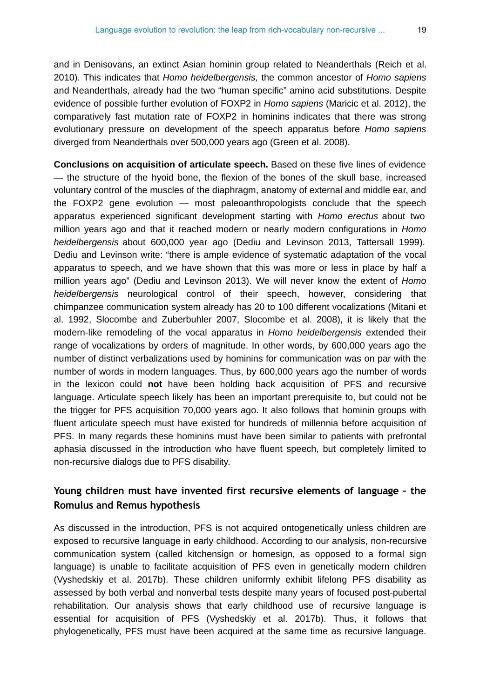and in Denisovans, an extinct Asian hominin group related to Neanderthals (Reich et al. 2010). This indicates that *Homo heidelbergensis,* the common ancestor of *Homo sapiens* and Neanderthals, already had the two "human specific" amino acid substitutions. Despite evidence of possible further evolution of FOXP2 in *Homo sapiens* (Maricic et al. 2012), the comparatively fast mutation rate of FOXP2 in hominins indicates that there was strong evolutionary pressure on development of the speech apparatus before *Homo sapiens* diverged from Neanderthals over 500,000 years ago (Green et al. 2008).

**Conclusions on acquisition of articulate speech.** Based on these five lines of evidence — the structure of the hyoid bone, the flexion of the bones of the skull base, increased voluntary control of the muscles of the diaphragm, anatomy of external and middle ear, and the FOXP2 gene evolution — most paleoanthropologists conclude that the speech apparatus experienced significant development starting with *Homo erectus* about two million years ago and that it reached modern or nearly modern configurations in *Homo heidelbergensis* about 600,000 year ago (Dediu and Levinson 2013, Tattersall 1999). Dediu and Levinson write: "there is ample evidence of systematic adaptation of the vocal apparatus to speech, and we have shown that this was more or less in place by half a million years ago" (Dediu and Levinson 2013). We will never know the extent of *Homo heidelbergensis* neurological control of their speech, however, considering that chimpanzee communication system already has 20 to 100 different vocalizations (Mitani et al. 1992, Slocombe and Zuberbuhler 2007, Slocombe et al. 2008), it is likely that the modern-like remodeling of the vocal apparatus in *Homo heidelbergensis* extended their range of vocalizations by orders of magnitude. In other words, by 600,000 years ago the number of distinct verbalizations used by hominins for communication was on par with the number of words in modern languages. Thus, by 600,000 years ago the number of words in the lexicon could **not** have been holding back acquisition of PFS and recursive language. Articulate speech likely has been an important prerequisite to, but could not be the trigger for PFS acquisition 70,000 years ago. It also follows that hominin groups with fluent articulate speech must have existed for hundreds of millennia before acquisition of PFS. In many regards these hominins must have been similar to patients with prefrontal aphasia discussed in the introduction who have fluent speech, but completely limited to non-recursive dialogs due to PFS disability.

## **Young children must have invented first recursive elements of language – the Romulus and Remus hypothesis**

As discussed in the introduction, PFS is not acquired ontogenetically unless children are exposed to recursive language in early childhood. According to our analysis, non-recursive communication system (called kitchensign or homesign, as opposed to a formal sign language) is unable to facilitate acquisition of PFS even in genetically modern children (Vyshedskiy et al. 2017b). These children uniformly exhibit lifelong PFS disability as assessed by both verbal and nonverbal tests despite many years of focused post-pubertal rehabilitation. Our analysis shows that early childhood use of recursive language is essential for acquisition of PFS (Vyshedskiy et al. 2017b). Thus, it follows that phylogenetically, PFS must have been acquired at the same time as recursive language.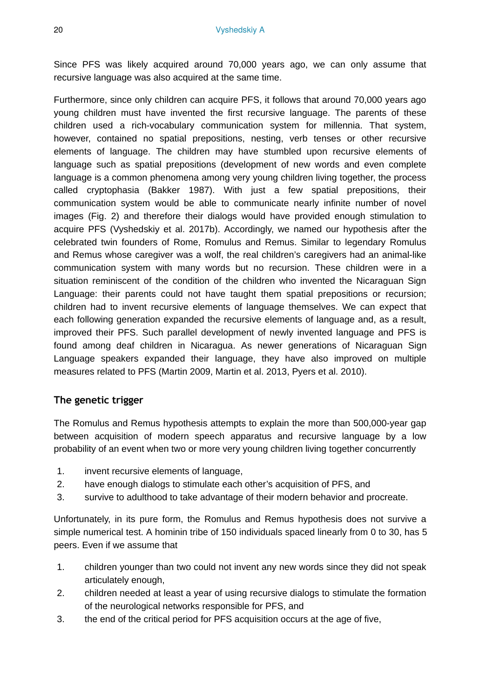Since PFS was likely acquired around 70,000 years ago, we can only assume that recursive language was also acquired at the same time.

Furthermore, since only children can acquire PFS, it follows that around 70,000 years ago young children must have invented the first recursive language. The parents of these children used a rich-vocabulary communication system for millennia. That system, however, contained no spatial prepositions, nesting, verb tenses or other recursive elements of language. The children may have stumbled upon recursive elements of language such as spatial prepositions (development of new words and even complete language is a common phenomena among very young children living together, the process called cryptophasia (Bakker 1987). With just a few spatial prepositions, their communication system would be able to communicate nearly infinite number of novel images (Fig. 2) and therefore their dialogs would have provided enough stimulation to acquire PFS (Vyshedskiy et al. 2017b). Accordingly, we named our hypothesis after the celebrated twin founders of Rome, Romulus and Remus. Similar to legendary Romulus and Remus whose caregiver was a wolf, the real children's caregivers had an animal-like communication system with many words but no recursion. These children were in a situation reminiscent of the condition of the children who invented the Nicaraguan Sign Language: their parents could not have taught them spatial prepositions or recursion; children had to invent recursive elements of language themselves. We can expect that each following generation expanded the recursive elements of language and, as a result, improved their PFS. Such parallel development of newly invented language and PFS is found among deaf children in Nicaragua. As newer generations of Nicaraguan Sign Language speakers expanded their language, they have also improved on multiple measures related to PFS (Martin 2009, Martin et al. 2013, Pyers et al. 2010).

## **The genetic trigger**

The Romulus and Remus hypothesis attempts to explain the more than 500,000-year gap between acquisition of modern speech apparatus and recursive language by a low probability of an event when two or more very young children living together concurrently

- 1. invent recursive elements of language,
- 2. have enough dialogs to stimulate each other's acquisition of PFS, and
- 3. survive to adulthood to take advantage of their modern behavior and procreate.

Unfortunately, in its pure form, the Romulus and Remus hypothesis does not survive a simple numerical test. A hominin tribe of 150 individuals spaced linearly from 0 to 30, has 5 peers. Even if we assume that

- 1. children younger than two could not invent any new words since they did not speak articulately enough,
- 2. children needed at least a year of using recursive dialogs to stimulate the formation of the neurological networks responsible for PFS, and
- 3. the end of the critical period for PFS acquisition occurs at the age of five,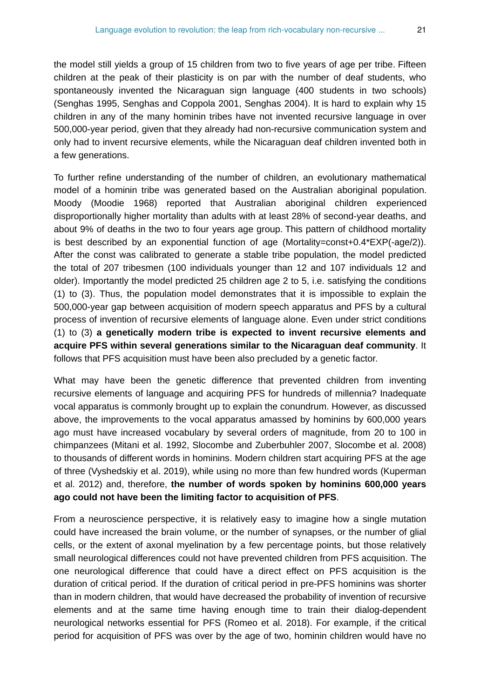the model still yields a group of 15 children from two to five years of age per tribe. Fifteen children at the peak of their plasticity is on par with the number of deaf students, who spontaneously invented the Nicaraguan sign language (400 students in two schools) (Senghas 1995, Senghas and Coppola 2001, Senghas 2004). It is hard to explain why 15 children in any of the many hominin tribes have not invented recursive language in over 500,000-year period, given that they already had non-recursive communication system and only had to invent recursive elements, while the Nicaraguan deaf children invented both in a few generations.

To further refine understanding of the number of children, an evolutionary mathematical model of a hominin tribe was generated based on the Australian aboriginal population. Moody (Moodie 1968) reported that Australian aboriginal children experienced disproportionally higher mortality than adults with at least 28% of second-year deaths, and about 9% of deaths in the two to four years age group. This pattern of childhood mortality is best described by an exponential function of age (Mortality=const+0.4\*EXP(-age/2)). After the const was calibrated to generate a stable tribe population, the model predicted the total of 207 tribesmen (100 individuals younger than 12 and 107 individuals 12 and older). Importantly the model predicted 25 children age 2 to 5, i.e. satisfying the conditions (1) to (3). Thus, the population model demonstrates that it is impossible to explain the 500,000-year gap between acquisition of modern speech apparatus and PFS by a cultural process of invention of recursive elements of language alone. Even under strict conditions (1) to (3) **a genetically modern tribe is expected to invent recursive elements and acquire PFS within several generations similar to the Nicaraguan deaf community**. It follows that PFS acquisition must have been also precluded by a genetic factor.

What may have been the genetic difference that prevented children from inventing recursive elements of language and acquiring PFS for hundreds of millennia? Inadequate vocal apparatus is commonly brought up to explain the conundrum. However, as discussed above, the improvements to the vocal apparatus amassed by hominins by 600,000 years ago must have increased vocabulary by several orders of magnitude, from 20 to 100 in chimpanzees (Mitani et al. 1992, Slocombe and Zuberbuhler 2007, Slocombe et al. 2008) to thousands of different words in hominins. Modern children start acquiring PFS at the age of three (Vyshedskiy et al. 2019), while using no more than few hundred words (Kuperman et al. 2012) and, therefore, **the number of words spoken by hominins 600,000 years ago could not have been the limiting factor to acquisition of PFS**.

From a neuroscience perspective, it is relatively easy to imagine how a single mutation could have increased the brain volume, or the number of synapses, or the number of glial cells, or the extent of axonal myelination by a few percentage points, but those relatively small neurological differences could not have prevented children from PFS acquisition. The one neurological difference that could have a direct effect on PFS acquisition is the duration of critical period. If the duration of critical period in pre-PFS hominins was shorter than in modern children, that would have decreased the probability of invention of recursive elements and at the same time having enough time to train their dialog-dependent neurological networks essential for PFS (Romeo et al. 2018). For example, if the critical period for acquisition of PFS was over by the age of two, hominin children would have no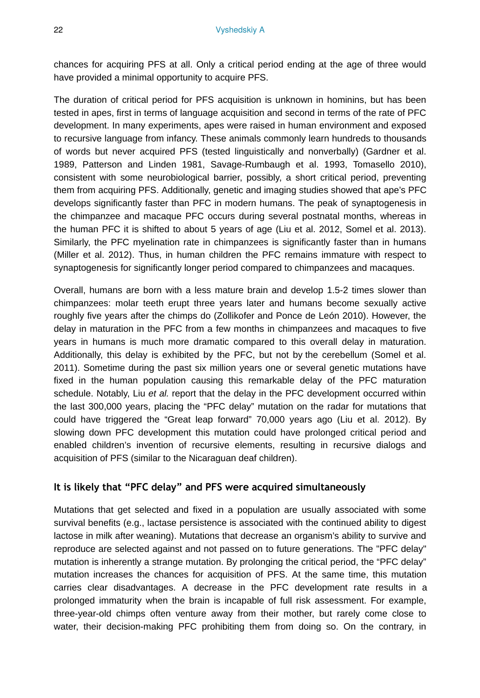chances for acquiring PFS at all. Only a critical period ending at the age of three would have provided a minimal opportunity to acquire PFS.

The duration of critical period for PFS acquisition is unknown in hominins, but has been tested in apes, first in terms of language acquisition and second in terms of the rate of PFC development. In many experiments, apes were raised in human environment and exposed to recursive language from infancy. These animals commonly learn hundreds to thousands of words but never acquired PFS (tested linguistically and nonverbally) (Gardner et al. 1989, Patterson and Linden 1981, Savage-Rumbaugh et al. 1993, Tomasello 2010), consistent with some neurobiological barrier, possibly, a short critical period, preventing them from acquiring PFS. Additionally, genetic and imaging studies showed that ape's PFC develops significantly faster than PFC in modern humans. The peak of synaptogenesis in the chimpanzee and macaque PFC occurs during several postnatal months, whereas in the human PFC it is shifted to about 5 years of age (Liu et al. 2012, Somel et al. 2013). Similarly, the PFC myelination rate in chimpanzees is significantly faster than in humans (Miller et al. 2012). Thus, in human children the PFC remains immature with respect to synaptogenesis for significantly longer period compared to chimpanzees and macaques.

Overall, humans are born with a less mature brain and develop 1.5-2 times slower than chimpanzees: molar teeth erupt three years later and humans become sexually active roughly five years after the chimps do (Zollikofer and Ponce de León 2010). However, the delay in maturation in the PFC from a few months in chimpanzees and macaques to five years in humans is much more dramatic compared to this overall delay in maturation. Additionally, this delay is exhibited by the PFC, but not by the cerebellum (Somel et al. 2011). Sometime during the past six million years one or several genetic mutations have fixed in the human population causing this remarkable delay of the PFC maturation schedule. Notably, Liu *et al.* report that the delay in the PFC development occurred within the last 300,000 years, placing the "PFC delay" mutation on the radar for mutations that could have triggered the "Great leap forward" 70,000 years ago (Liu et al. 2012). By slowing down PFC development this mutation could have prolonged critical period and enabled children's invention of recursive elements, resulting in recursive dialogs and acquisition of PFS (similar to the Nicaraguan deaf children).

#### **It is likely that "PFC delay" and PFS were acquired simultaneously**

Mutations that get selected and fixed in a population are usually associated with some survival benefits (e.g., lactase persistence is associated with the continued ability to digest lactose in milk after weaning). Mutations that decrease an organism's ability to survive and reproduce are selected against and not passed on to future generations. The "PFC delay" mutation is inherently a strange mutation. By prolonging the critical period, the "PFC delay" mutation increases the chances for acquisition of PFS. At the same time, this mutation carries clear disadvantages. A decrease in the PFC development rate results in a prolonged immaturity when the brain is incapable of full risk assessment. For example, three-year-old chimps often venture away from their mother, but rarely come close to water, their decision-making PFC prohibiting them from doing so. On the contrary, in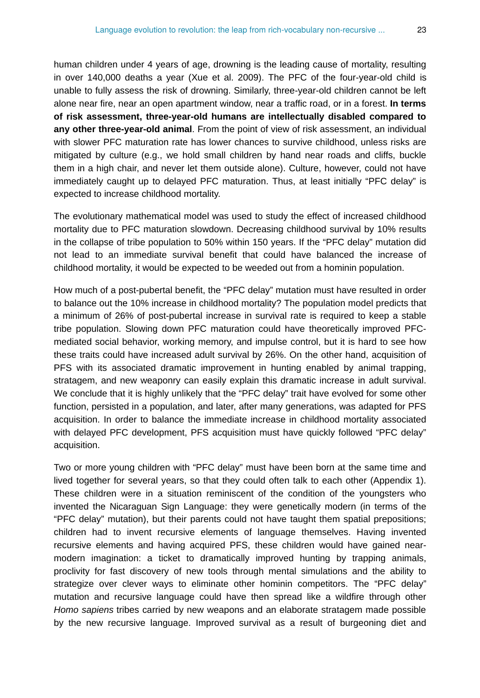human children under 4 years of age, drowning is the leading cause of mortality, resulting in over 140,000 deaths a year (Xue et al. 2009). The PFC of the four-year-old child is unable to fully assess the risk of drowning. Similarly, three-year-old children cannot be left alone near fire, near an open apartment window, near a traffic road, or in a forest. **In terms of risk assessment, three-year-old humans are intellectually disabled compared to any other three-year-old animal**. From the point of view of risk assessment, an individual with slower PFC maturation rate has lower chances to survive childhood, unless risks are mitigated by culture (e.g., we hold small children by hand near roads and cliffs, buckle them in a high chair, and never let them outside alone). Culture, however, could not have immediately caught up to delayed PFC maturation. Thus, at least initially "PFC delay" is expected to increase childhood mortality.

The evolutionary mathematical model was used to study the effect of increased childhood mortality due to PFC maturation slowdown. Decreasing childhood survival by 10% results in the collapse of tribe population to 50% within 150 years. If the "PFC delay" mutation did not lead to an immediate survival benefit that could have balanced the increase of childhood mortality, it would be expected to be weeded out from a hominin population.

How much of a post-pubertal benefit, the "PFC delay" mutation must have resulted in order to balance out the 10% increase in childhood mortality? The population model predicts that a minimum of 26% of post-pubertal increase in survival rate is required to keep a stable tribe population. Slowing down PFC maturation could have theoretically improved PFCmediated social behavior, working memory, and impulse control, but it is hard to see how these traits could have increased adult survival by 26%. On the other hand, acquisition of PFS with its associated dramatic improvement in hunting enabled by animal trapping, stratagem, and new weaponry can easily explain this dramatic increase in adult survival. We conclude that it is highly unlikely that the "PFC delay" trait have evolved for some other function, persisted in a population, and later, after many generations, was adapted for PFS acquisition. In order to balance the immediate increase in childhood mortality associated with delayed PFC development, PFS acquisition must have quickly followed "PFC delay" acquisition.

Two or more young children with "PFC delay" must have been born at the same time and lived together for several years, so that they could often talk to each other (Appendix 1). These children were in a situation reminiscent of the condition of the youngsters who invented the Nicaraguan Sign Language: they were genetically modern (in terms of the "PFC delay" mutation), but their parents could not have taught them spatial prepositions; children had to invent recursive elements of language themselves. Having invented recursive elements and having acquired PFS, these children would have gained nearmodern imagination: a ticket to dramatically improved hunting by trapping animals, proclivity for fast discovery of new tools through mental simulations and the ability to strategize over clever ways to eliminate other hominin competitors. The "PFC delay" mutation and recursive language could have then spread like a wildfire through other *Homo sapiens* tribes carried by new weapons and an elaborate stratagem made possible by the new recursive language. Improved survival as a result of burgeoning diet and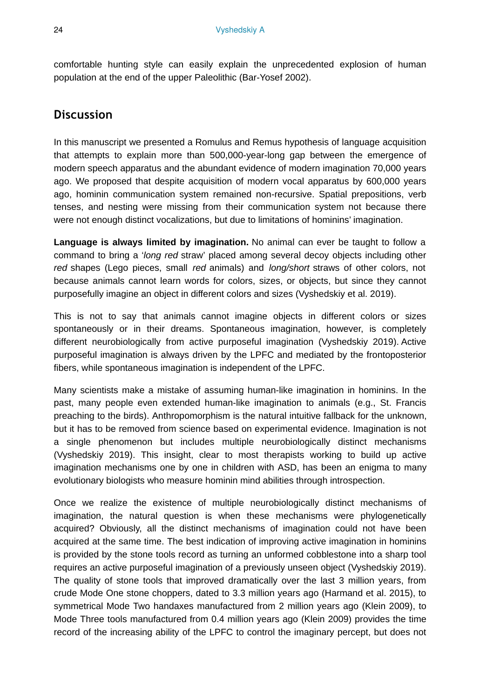comfortable hunting style can easily explain the unprecedented explosion of human population at the end of the upper Paleolithic (Bar-Yosef 2002).

## **Discussion**

In this manuscript we presented a Romulus and Remus hypothesis of language acquisition that attempts to explain more than 500,000-year-long gap between the emergence of modern speech apparatus and the abundant evidence of modern imagination 70,000 years ago. We proposed that despite acquisition of modern vocal apparatus by 600,000 years ago, hominin communication system remained non-recursive. Spatial prepositions, verb tenses, and nesting were missing from their communication system not because there were not enough distinct vocalizations, but due to limitations of hominins' imagination.

**Language is always limited by imagination.** No animal can ever be taught to follow a command to bring a '*long red* straw' placed among several decoy objects including other *red* shapes (Lego pieces, small *red* animals) and *long/short* straws of other colors, not because animals cannot learn words for colors, sizes, or objects, but since they cannot purposefully imagine an object in different colors and sizes (Vyshedskiy et al. 2019).

This is not to say that animals cannot imagine objects in different colors or sizes spontaneously or in their dreams. Spontaneous imagination, however, is completely different neurobiologically from active purposeful imagination (Vyshedskiy 2019). Active purposeful imagination is always driven by the LPFC and mediated by the frontoposterior fibers, while spontaneous imagination is independent of the LPFC.

Many scientists make a mistake of assuming human-like imagination in hominins. In the past, many people even extended human-like imagination to animals (e.g., St. Francis preaching to the birds). Anthropomorphism is the natural intuitive fallback for the unknown, but it has to be removed from science based on experimental evidence. Imagination is not a single phenomenon but includes multiple neurobiologically distinct mechanisms (Vyshedskiy 2019). This insight, clear to most therapists working to build up active imagination mechanisms one by one in children with ASD, has been an enigma to many evolutionary biologists who measure hominin mind abilities through introspection.

Once we realize the existence of multiple neurobiologically distinct mechanisms of imagination, the natural question is when these mechanisms were phylogenetically acquired? Obviously, all the distinct mechanisms of imagination could not have been acquired at the same time. The best indication of improving active imagination in hominins is provided by the stone tools record as turning an unformed cobblestone into a sharp tool requires an active purposeful imagination of a previously unseen object (Vyshedskiy 2019). The quality of stone tools that improved dramatically over the last 3 million years, from crude Mode One stone choppers, dated to 3.3 million years ago (Harmand et al. 2015), to symmetrical Mode Two handaxes manufactured from 2 million years ago (Klein 2009), to Mode Three tools manufactured from 0.4 million years ago (Klein 2009) provides the time record of the increasing ability of the LPFC to control the imaginary percept, but does not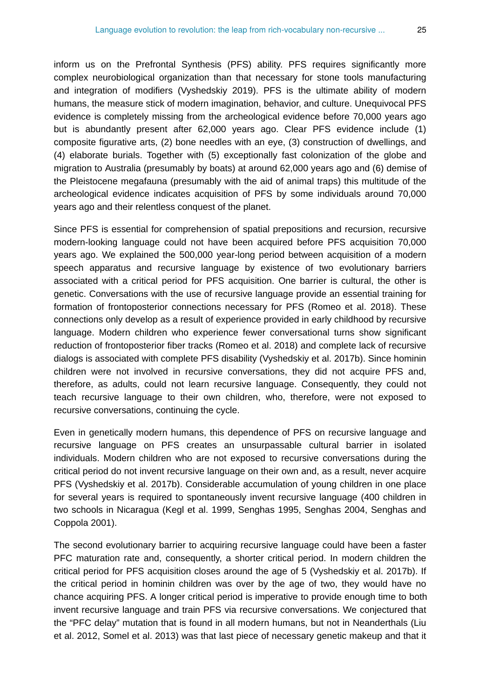inform us on the Prefrontal Synthesis (PFS) ability. PFS requires significantly more complex neurobiological organization than that necessary for stone tools manufacturing and integration of modifiers (Vyshedskiy 2019). PFS is the ultimate ability of modern humans, the measure stick of modern imagination, behavior, and culture. Unequivocal PFS evidence is completely missing from the archeological evidence before 70,000 years ago but is abundantly present after 62,000 years ago. Clear PFS evidence include (1) composite figurative arts, (2) bone needles with an eye, (3) construction of dwellings, and (4) elaborate burials. Together with (5) exceptionally fast colonization of the globe and migration to Australia (presumably by boats) at around 62,000 years ago and (6) demise of the Pleistocene megafauna (presumably with the aid of animal traps) this multitude of the archeological evidence indicates acquisition of PFS by some individuals around 70,000 years ago and their relentless conquest of the planet.

Since PFS is essential for comprehension of spatial prepositions and recursion, recursive modern-looking language could not have been acquired before PFS acquisition 70,000 years ago. We explained the 500,000 year-long period between acquisition of a modern speech apparatus and recursive language by existence of two evolutionary barriers associated with a critical period for PFS acquisition. One barrier is cultural, the other is genetic. Conversations with the use of recursive language provide an essential training for formation of frontoposterior connections necessary for PFS (Romeo et al. 2018). These connections only develop as a result of experience provided in early childhood by recursive language. Modern children who experience fewer conversational turns show significant reduction of frontoposterior fiber tracks (Romeo et al. 2018) and complete lack of recursive dialogs is associated with complete PFS disability (Vyshedskiy et al. 2017b). Since hominin children were not involved in recursive conversations, they did not acquire PFS and, therefore, as adults, could not learn recursive language. Consequently, they could not teach recursive language to their own children, who, therefore, were not exposed to recursive conversations, continuing the cycle.

Even in genetically modern humans, this dependence of PFS on recursive language and recursive language on PFS creates an unsurpassable cultural barrier in isolated individuals. Modern children who are not exposed to recursive conversations during the critical period do not invent recursive language on their own and, as a result, never acquire PFS (Vyshedskiy et al. 2017b). Considerable accumulation of young children in one place for several years is required to spontaneously invent recursive language (400 children in two schools in Nicaragua (Kegl et al. 1999, Senghas 1995, Senghas 2004, Senghas and Coppola 2001).

The second evolutionary barrier to acquiring recursive language could have been a faster PFC maturation rate and, consequently, a shorter critical period. In modern children the critical period for PFS acquisition closes around the age of 5 (Vyshedskiy et al. 2017b). If the critical period in hominin children was over by the age of two, they would have no chance acquiring PFS. A longer critical period is imperative to provide enough time to both invent recursive language and train PFS via recursive conversations. We conjectured that the "PFC delay" mutation that is found in all modern humans, but not in Neanderthals (Liu et al. 2012, Somel et al. 2013) was that last piece of necessary genetic makeup and that it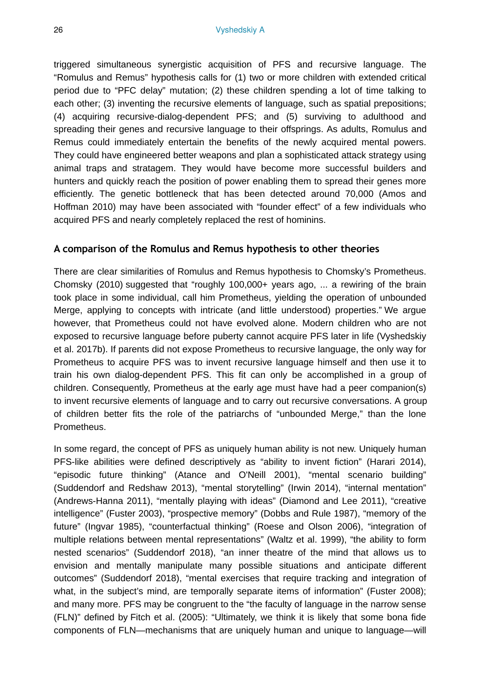triggered simultaneous synergistic acquisition of PFS and recursive language. The "Romulus and Remus" hypothesis calls for (1) two or more children with extended critical period due to "PFC delay" mutation; (2) these children spending a lot of time talking to each other; (3) inventing the recursive elements of language, such as spatial prepositions; (4) acquiring recursive-dialog-dependent PFS; and (5) surviving to adulthood and spreading their genes and recursive language to their offsprings. As adults, Romulus and Remus could immediately entertain the benefits of the newly acquired mental powers. They could have engineered better weapons and plan a sophisticated attack strategy using animal traps and stratagem. They would have become more successful builders and hunters and quickly reach the position of power enabling them to spread their genes more efficiently. The genetic bottleneck that has been detected around 70,000 (Amos and Hoffman 2010) may have been associated with "founder effect" of a few individuals who acquired PFS and nearly completely replaced the rest of hominins.

### **A comparison of the Romulus and Remus hypothesis to other theories**

There are clear similarities of Romulus and Remus hypothesis to Chomsky's Prometheus. Chomsky (2010) suggested that "roughly 100,000+ years ago, ... a rewiring of the brain took place in some individual, call him Prometheus, yielding the operation of unbounded Merge, applying to concepts with intricate (and little understood) properties." We argue however, that Prometheus could not have evolved alone. Modern children who are not exposed to recursive language before puberty cannot acquire PFS later in life (Vyshedskiy et al. 2017b). If parents did not expose Prometheus to recursive language, the only way for Prometheus to acquire PFS was to invent recursive language himself and then use it to train his own dialog-dependent PFS. This fit can only be accomplished in a group of children. Consequently, Prometheus at the early age must have had a peer companion(s) to invent recursive elements of language and to carry out recursive conversations. A group of children better fits the role of the patriarchs of "unbounded Merge," than the lone Prometheus.

In some regard, the concept of PFS as uniquely human ability is not new. Uniquely human PFS-like abilities were defined descriptively as "ability to invent fiction" (Harari 2014), "episodic future thinking" (Atance and O'Neill 2001), "mental scenario building" (Suddendorf and Redshaw 2013), "mental storytelling" (Irwin 2014), "internal mentation" (Andrews-Hanna 2011), "mentally playing with ideas" (Diamond and Lee 2011), "creative intelligence" (Fuster 2003), "prospective memory" (Dobbs and Rule 1987), "memory of the future" (Ingvar 1985), "counterfactual thinking" (Roese and Olson 2006), "integration of multiple relations between mental representations" (Waltz et al. 1999), "the ability to form nested scenarios" (Suddendorf 2018), "an inner theatre of the mind that allows us to envision and mentally manipulate many possible situations and anticipate different outcomes" (Suddendorf 2018), "mental exercises that require tracking and integration of what, in the subject's mind, are temporally separate items of information" (Fuster 2008); and many more. PFS may be congruent to the "the faculty of language in the narrow sense (FLN)" defined by Fitch et al. (2005): "Ultimately, we think it is likely that some bona fide components of FLN—mechanisms that are uniquely human and unique to language—will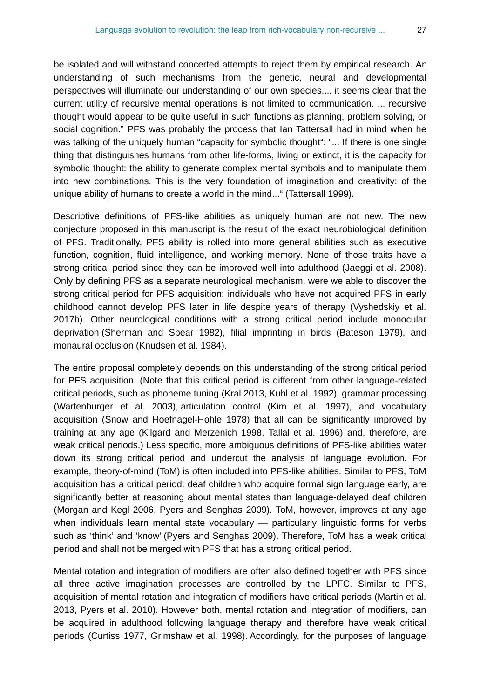be isolated and will withstand concerted attempts to reject them by empirical research. An understanding of such mechanisms from the genetic, neural and developmental perspectives will illuminate our understanding of our own species.... it seems clear that the current utility of recursive mental operations is not limited to communication. ... recursive thought would appear to be quite useful in such functions as planning, problem solving, or social cognition." PFS was probably the process that Ian Tattersall had in mind when he was talking of the uniquely human "capacity for symbolic thought": "... If there is one single thing that distinguishes humans from other life-forms, living or extinct, it is the capacity for symbolic thought: the ability to generate complex mental symbols and to manipulate them into new combinations. This is the very foundation of imagination and creativity: of the unique ability of humans to create a world in the mind..." (Tattersall 1999).

Descriptive definitions of PFS-like abilities as uniquely human are not new. The new conjecture proposed in this manuscript is the result of the exact neurobiological definition of PFS. Traditionally, PFS ability is rolled into more general abilities such as executive function, cognition, fluid intelligence, and working memory. None of those traits have a strong critical period since they can be improved well into adulthood (Jaeggi et al. 2008). Only by defining PFS as a separate neurological mechanism, were we able to discover the strong critical period for PFS acquisition: individuals who have not acquired PFS in early childhood cannot develop PFS later in life despite years of therapy (Vyshedskiy et al. 2017b). Other neurological conditions with a strong critical period include monocular deprivation (Sherman and Spear 1982), filial imprinting in birds (Bateson 1979), and monaural occlusion (Knudsen et al. 1984).

The entire proposal completely depends on this understanding of the strong critical period for PFS acquisition. (Note that this critical period is different from other language-related critical periods, such as phoneme tuning (Kral 2013, Kuhl et al. 1992), grammar processing (Wartenburger et al. 2003), articulation control (Kim et al. 1997), and vocabulary acquisition (Snow and Hoefnagel-Hohle 1978) that all can be significantly improved by training at any age (Kilgard and Merzenich 1998, Tallal et al. 1996) and, therefore, are weak critical periods.) Less specific, more ambiguous definitions of PFS-like abilities water down its strong critical period and undercut the analysis of language evolution. For example, theory-of-mind (ToM) is often included into PFS-like abilities. Similar to PFS, ToM acquisition has a critical period: deaf children who acquire formal sign language early, are significantly better at reasoning about mental states than language-delayed deaf children (Morgan and Kegl 2006, Pyers and Senghas 2009). ToM, however, improves at any age when individuals learn mental state vocabulary — particularly linguistic forms for verbs such as 'think' and 'know' (Pyers and Senghas 2009). Therefore, ToM has a weak critical period and shall not be merged with PFS that has a strong critical period.

Mental rotation and integration of modifiers are often also defined together with PFS since all three active imagination processes are controlled by the LPFC. Similar to PFS, acquisition of mental rotation and integration of modifiers have critical periods (Martin et al. 2013, Pyers et al. 2010). However both, mental rotation and integration of modifiers, can be acquired in adulthood following language therapy and therefore have weak critical periods (Curtiss 1977, Grimshaw et al. 1998). Accordingly, for the purposes of language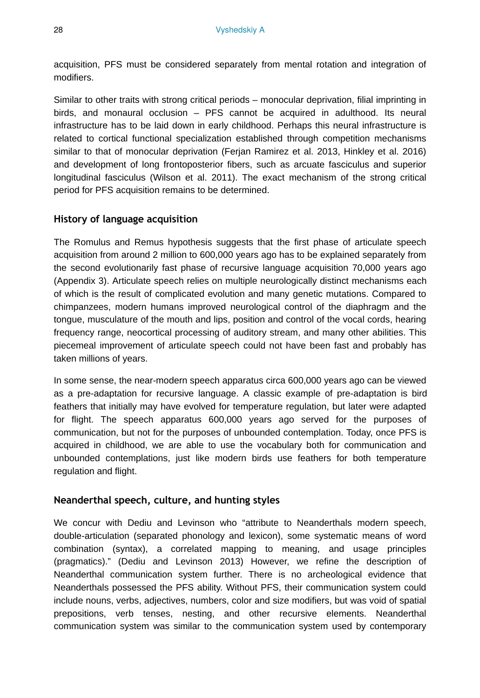acquisition, PFS must be considered separately from mental rotation and integration of modifiers.

Similar to other traits with strong critical periods – monocular deprivation, filial imprinting in birds, and monaural occlusion – PFS cannot be acquired in adulthood. Its neural infrastructure has to be laid down in early childhood. Perhaps this neural infrastructure is related to cortical functional specialization established through competition mechanisms similar to that of monocular deprivation (Ferjan Ramirez et al. 2013, Hinkley et al. 2016) and development of long frontoposterior fibers, such as arcuate fasciculus and superior longitudinal fasciculus (Wilson et al. 2011). The exact mechanism of the strong critical period for PFS acquisition remains to be determined.

## **History of language acquisition**

The Romulus and Remus hypothesis suggests that the first phase of articulate speech acquisition from around 2 million to 600,000 years ago has to be explained separately from the second evolutionarily fast phase of recursive language acquisition 70,000 years ago (Appendix 3). Articulate speech relies on multiple neurologically distinct mechanisms each of which is the result of complicated evolution and many genetic mutations. Compared to chimpanzees, modern humans improved neurological control of the diaphragm and the tongue, musculature of the mouth and lips, position and control of the vocal cords, hearing frequency range, neocortical processing of auditory stream, and many other abilities. This piecemeal improvement of articulate speech could not have been fast and probably has taken millions of years.

In some sense, the near-modern speech apparatus circa 600,000 years ago can be viewed as a pre-adaptation for recursive language. A classic example of pre-adaptation is bird feathers that initially may have evolved for temperature regulation, but later were adapted for flight. The speech apparatus 600,000 years ago served for the purposes of communication, but not for the purposes of unbounded contemplation. Today, once PFS is acquired in childhood, we are able to use the vocabulary both for communication and unbounded contemplations, just like modern birds use feathers for both temperature regulation and flight.

## **Neanderthal speech, culture, and hunting styles**

We concur with Dediu and Levinson who "attribute to Neanderthals modern speech, double-articulation (separated phonology and lexicon), some systematic means of word combination (syntax), a correlated mapping to meaning, and usage principles (pragmatics)." (Dediu and Levinson 2013) However, we refine the description of Neanderthal communication system further. There is no archeological evidence that Neanderthals possessed the PFS ability. Without PFS, their communication system could include nouns, verbs, adjectives, numbers, color and size modifiers, but was void of spatial prepositions, verb tenses, nesting, and other recursive elements. Neanderthal communication system was similar to the communication system used by contemporary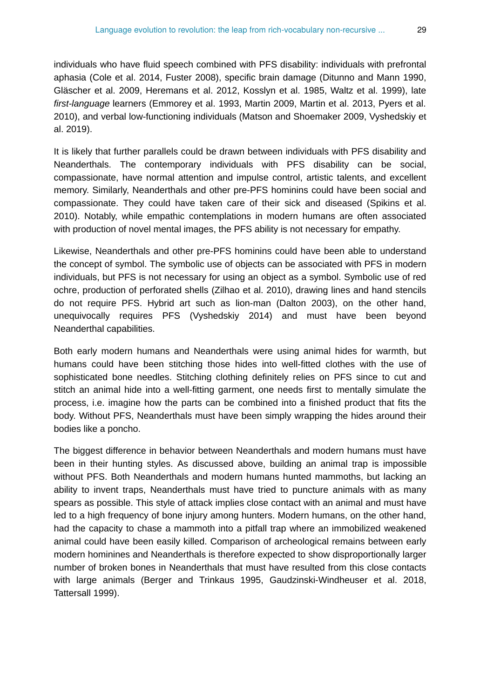individuals who have fluid speech combined with PFS disability: individuals with prefrontal aphasia (Cole et al. 2014, Fuster 2008), specific brain damage (Ditunno and Mann 1990, Gläscher et al. 2009, Heremans et al. 2012, Kosslyn et al. 1985, Waltz et al. 1999), late *first-language* learners (Emmorey et al. 1993, Martin 2009, Martin et al. 2013, Pyers et al. 2010), and verbal low-functioning individuals (Matson and Shoemaker 2009, Vyshedskiy et al. 2019).

It is likely that further parallels could be drawn between individuals with PFS disability and Neanderthals. The contemporary individuals with PFS disability can be social, compassionate, have normal attention and impulse control, artistic talents, and excellent memory. Similarly, Neanderthals and other pre-PFS hominins could have been social and compassionate. They could have taken care of their sick and diseased (Spikins et al. 2010). Notably, while empathic contemplations in modern humans are often associated with production of novel mental images, the PFS ability is not necessary for empathy.

Likewise, Neanderthals and other pre-PFS hominins could have been able to understand the concept of symbol. The symbolic use of objects can be associated with PFS in modern individuals, but PFS is not necessary for using an object as a symbol. Symbolic use of red ochre, production of perforated shells (Zilhao et al. 2010), drawing lines and hand stencils do not require PFS. Hybrid art such as lion-man (Dalton 2003), on the other hand, unequivocally requires PFS (Vyshedskiy 2014) and must have been beyond Neanderthal capabilities.

Both early modern humans and Neanderthals were using animal hides for warmth, but humans could have been stitching those hides into well-fitted clothes with the use of sophisticated bone needles. Stitching clothing definitely relies on PFS since to cut and stitch an animal hide into a well-fitting garment, one needs first to mentally simulate the process, i.e. imagine how the parts can be combined into a finished product that fits the body. Without PFS, Neanderthals must have been simply wrapping the hides around their bodies like a poncho.

The biggest difference in behavior between Neanderthals and modern humans must have been in their hunting styles. As discussed above, building an animal trap is impossible without PFS. Both Neanderthals and modern humans hunted mammoths, but lacking an ability to invent traps, Neanderthals must have tried to puncture animals with as many spears as possible. This style of attack implies close contact with an animal and must have led to a high frequency of bone injury among hunters. Modern humans, on the other hand, had the capacity to chase a mammoth into a pitfall trap where an immobilized weakened animal could have been easily killed. Comparison of archeological remains between early modern hominines and Neanderthals is therefore expected to show disproportionally larger number of broken bones in Neanderthals that must have resulted from this close contacts with large animals (Berger and Trinkaus 1995, Gaudzinski-Windheuser et al. 2018, Tattersall 1999).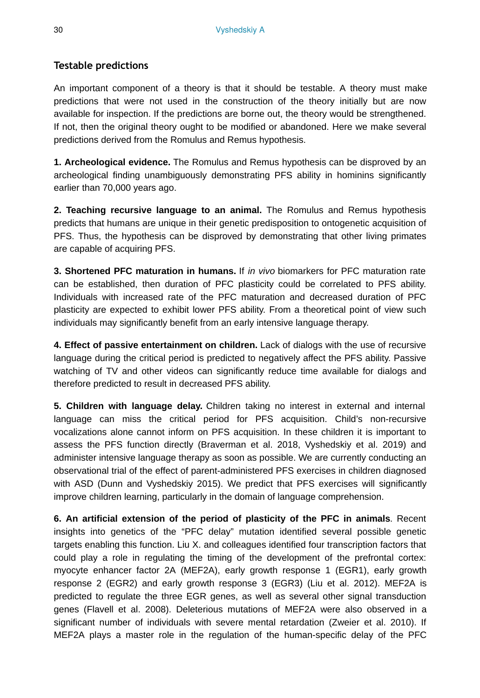## **Testable predictions**

An important component of a theory is that it should be testable. A theory must make predictions that were not used in the construction of the theory initially but are now available for inspection. If the predictions are borne out, the theory would be strengthened. If not, then the original theory ought to be modified or abandoned. Here we make several predictions derived from the Romulus and Remus hypothesis.

**1. Archeological evidence.** The Romulus and Remus hypothesis can be disproved by an archeological finding unambiguously demonstrating PFS ability in hominins significantly earlier than 70,000 years ago.

**2. Teaching recursive language to an animal.** The Romulus and Remus hypothesis predicts that humans are unique in their genetic predisposition to ontogenetic acquisition of PFS. Thus, the hypothesis can be disproved by demonstrating that other living primates are capable of acquiring PFS.

**3. Shortened PFC maturation in humans.** If *in vivo* biomarkers for PFC maturation rate can be established, then duration of PFC plasticity could be correlated to PFS ability. Individuals with increased rate of the PFC maturation and decreased duration of PFC plasticity are expected to exhibit lower PFS ability. From a theoretical point of view such individuals may significantly benefit from an early intensive language therapy.

**4. Effect of passive entertainment on children.** Lack of dialogs with the use of recursive language during the critical period is predicted to negatively affect the PFS ability. Passive watching of TV and other videos can significantly reduce time available for dialogs and therefore predicted to result in decreased PFS ability.

**5. Children with language delay.** Children taking no interest in external and internal language can miss the critical period for PFS acquisition. Child's non-recursive vocalizations alone cannot inform on PFS acquisition. In these children it is important to assess the PFS function directly (Braverman et al. 2018, Vyshedskiy et al. 2019) and administer intensive language therapy as soon as possible. We are currently conducting an observational trial of the effect of parent-administered PFS exercises in children diagnosed with ASD (Dunn and Vyshedskiy 2015). We predict that PFS exercises will significantly improve children learning, particularly in the domain of language comprehension.

**6. An artificial extension of the period of plasticity of the PFC in animals**. Recent insights into genetics of the "PFC delay" mutation identified several possible genetic targets enabling this function. Liu X. and colleagues identified four transcription factors that could play a role in regulating the timing of the development of the prefrontal cortex: myocyte enhancer factor 2A (MEF2A), early growth response 1 (EGR1), early growth response 2 (EGR2) and early growth response 3 (EGR3) (Liu et al. 2012). MEF2A is predicted to regulate the three EGR genes, as well as several other signal transduction genes (Flavell et al. 2008). Deleterious mutations of MEF2A were also observed in a significant number of individuals with severe mental retardation (Zweier et al. 2010). If MEF2A plays a master role in the regulation of the human-specific delay of the PFC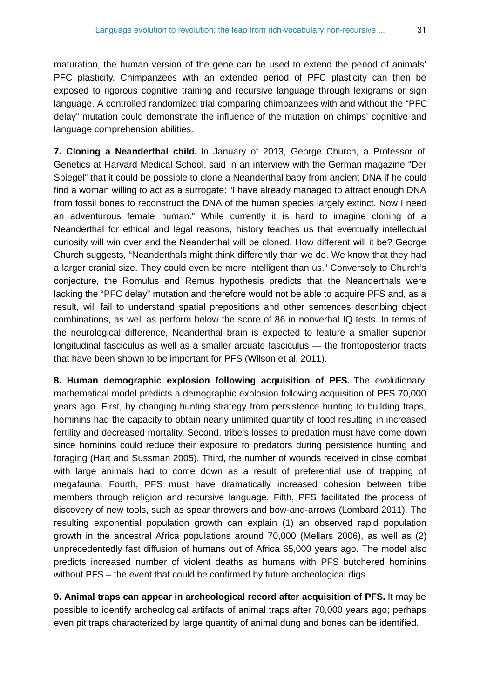maturation, the human version of the gene can be used to extend the period of animals' PFC plasticity. Chimpanzees with an extended period of PFC plasticity can then be exposed to rigorous cognitive training and recursive language through lexigrams or sign language. A controlled randomized trial comparing chimpanzees with and without the "PFC delay" mutation could demonstrate the influence of the mutation on chimps' cognitive and language comprehension abilities.

**7. Cloning a Neanderthal child.** In January of 2013, George Church, a Professor of Genetics at Harvard Medical School, said in an interview with the German magazine "Der Spiegel" that it could be possible to clone a Neanderthal baby from ancient DNA if he could find a woman willing to act as a surrogate: "I have already managed to attract enough DNA from fossil bones to reconstruct the DNA of the human species largely extinct. Now I need an adventurous female human." While currently it is hard to imagine cloning of a Neanderthal for ethical and legal reasons, history teaches us that eventually intellectual curiosity will win over and the Neanderthal will be cloned. How different will it be? George Church suggests, "Neanderthals might think differently than we do. We know that they had a larger cranial size. They could even be more intelligent than us." Conversely to Church's conjecture, the Romulus and Remus hypothesis predicts that the Neanderthals were lacking the "PFC delay" mutation and therefore would not be able to acquire PFS and, as a result, will fail to understand spatial prepositions and other sentences describing object combinations, as well as perform below the score of 86 in nonverbal IQ tests. In terms of the neurological difference, Neanderthal brain is expected to feature a smaller superior longitudinal fasciculus as well as a smaller arcuate fasciculus — the frontoposterior tracts that have been shown to be important for PFS (Wilson et al. 2011).

**8. Human demographic explosion following acquisition of PFS.** The evolutionary mathematical model predicts a demographic explosion following acquisition of PFS 70,000 years ago. First, by changing hunting strategy from persistence hunting to building traps, hominins had the capacity to obtain nearly unlimited quantity of food resulting in increased fertility and decreased mortality. Second, tribe's losses to predation must have come down since hominins could reduce their exposure to predators during persistence hunting and foraging (Hart and Sussman 2005). Third, the number of wounds received in close combat with large animals had to come down as a result of preferential use of trapping of megafauna. Fourth, PFS must have dramatically increased cohesion between tribe members through religion and recursive language. Fifth, PFS facilitated the process of discovery of new tools, such as spear throwers and bow-and-arrows (Lombard 2011). The resulting exponential population growth can explain (1) an observed rapid population growth in the ancestral Africa populations around 70,000 (Mellars 2006), as well as (2) unprecedentedly fast diffusion of humans out of Africa 65,000 years ago. The model also predicts increased number of violent deaths as humans with PFS butchered hominins without PFS – the event that could be confirmed by future archeological digs.

**9. Animal traps can appear in archeological record after acquisition of PFS.** It may be possible to identify archeological artifacts of animal traps after 70,000 years ago; perhaps even pit traps characterized by large quantity of animal dung and bones can be identified.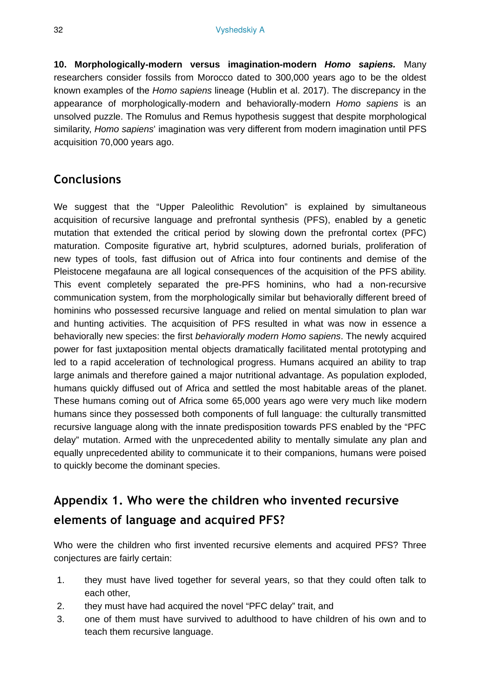**10. Morphologically-modern versus imagination-modern** *Homo sapiens.* Many researchers consider fossils from Morocco dated to 300,000 years ago to be the oldest known examples of the *Homo sapiens* lineage (Hublin et al. 2017). The discrepancy in the appearance of morphologically-modern and behaviorally-modern *Homo sapiens* is an unsolved puzzle. The Romulus and Remus hypothesis suggest that despite morphological similarity, *Homo sapiens*' imagination was very different from modern imagination until PFS acquisition 70,000 years ago.

## **Conclusions**

We suggest that the "Upper Paleolithic Revolution" is explained by simultaneous acquisition of recursive language and prefrontal synthesis (PFS), enabled by a genetic mutation that extended the critical period by slowing down the prefrontal cortex (PFC) maturation. Composite figurative art, hybrid sculptures, adorned burials, proliferation of new types of tools, fast diffusion out of Africa into four continents and demise of the Pleistocene megafauna are all logical consequences of the acquisition of the PFS ability. This event completely separated the pre-PFS hominins, who had a non-recursive communication system, from the morphologically similar but behaviorally different breed of hominins who possessed recursive language and relied on mental simulation to plan war and hunting activities. The acquisition of PFS resulted in what was now in essence a behaviorally new species: the first *behaviorally modern Homo sapiens*. The newly acquired power for fast juxtaposition mental objects dramatically facilitated mental prototyping and led to a rapid acceleration of technological progress. Humans acquired an ability to trap large animals and therefore gained a major nutritional advantage. As population exploded, humans quickly diffused out of Africa and settled the most habitable areas of the planet. These humans coming out of Africa some 65,000 years ago were very much like modern humans since they possessed both components of full language: the culturally transmitted recursive language along with the innate predisposition towards PFS enabled by the "PFC delay" mutation. Armed with the unprecedented ability to mentally simulate any plan and equally unprecedented ability to communicate it to their companions, humans were poised to quickly become the dominant species.

# **Appendix 1. Who were the children who invented recursive elements of language and acquired PFS?**

Who were the children who first invented recursive elements and acquired PFS? Three conjectures are fairly certain:

- 1. they must have lived together for several years, so that they could often talk to each other,
- 2. they must have had acquired the novel "PFC delay" trait, and
- 3. one of them must have survived to adulthood to have children of his own and to teach them recursive language.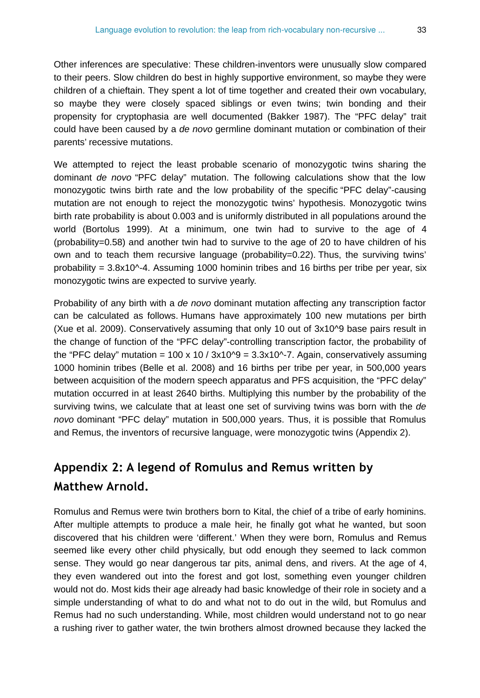Other inferences are speculative: These children-inventors were unusually slow compared to their peers. Slow children do best in highly supportive environment, so maybe they were children of a chieftain. They spent a lot of time together and created their own vocabulary, so maybe they were closely spaced siblings or even twins; twin bonding and their propensity for cryptophasia are well documented (Bakker 1987). The "PFC delay" trait could have been caused by a *de novo* germline dominant mutation or combination of their parents' recessive mutations.

We attempted to reject the least probable scenario of monozygotic twins sharing the dominant *de novo* "PFC delay" mutation. The following calculations show that the low monozygotic twins birth rate and the low probability of the specific "PFC delay"-causing mutation are not enough to reject the monozygotic twins' hypothesis. Monozygotic twins birth rate probability is about 0.003 and is uniformly distributed in all populations around the world (Bortolus 1999). At a minimum, one twin had to survive to the age of 4 (probability=0.58) and another twin had to survive to the age of 20 to have children of his own and to teach them recursive language (probability=0.22). Thus, the surviving twins' probability =  $3.8x10^{\circ}$ -4. Assuming 1000 hominin tribes and 16 births per tribe per year, six monozygotic twins are expected to survive yearly.

Probability of any birth with a *de novo* dominant mutation affecting any transcription factor can be calculated as follows. Humans have approximately 100 new mutations per birth (Xue et al. 2009). Conservatively assuming that only 10 out of 3x10^9 base pairs result in the change of function of the "PFC delay"-controlling transcription factor, the probability of the "PFC delay" mutation =  $100 \times 10 / 3 \times 10^{9} = 3.3 \times 10^{9} - 7$ . Again, conservatively assuming 1000 hominin tribes (Belle et al. 2008) and 16 births per tribe per year, in 500,000 years between acquisition of the modern speech apparatus and PFS acquisition, the "PFC delay" mutation occurred in at least 2640 births. Multiplying this number by the probability of the surviving twins, we calculate that at least one set of surviving twins was born with the *de novo* dominant "PFC delay" mutation in 500,000 years. Thus, it is possible that Romulus and Remus, the inventors of recursive language, were monozygotic twins (Appendix 2).

# **Appendix 2: A legend of Romulus and Remus written by Matthew Arnold.**

Romulus and Remus were twin brothers born to Kital, the chief of a tribe of early hominins. After multiple attempts to produce a male heir, he finally got what he wanted, but soon discovered that his children were 'different.' When they were born, Romulus and Remus seemed like every other child physically, but odd enough they seemed to lack common sense. They would go near dangerous tar pits, animal dens, and rivers. At the age of 4, they even wandered out into the forest and got lost, something even younger children would not do. Most kids their age already had basic knowledge of their role in society and a simple understanding of what to do and what not to do out in the wild, but Romulus and Remus had no such understanding. While, most children would understand not to go near a rushing river to gather water, the twin brothers almost drowned because they lacked the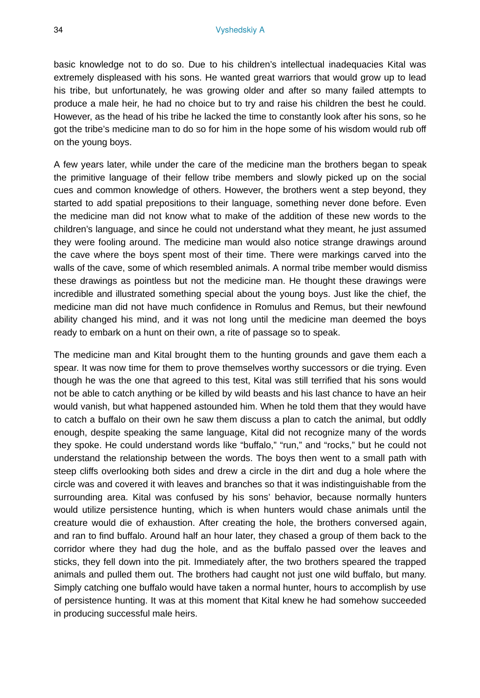basic knowledge not to do so. Due to his children's intellectual inadequacies Kital was extremely displeased with his sons. He wanted great warriors that would grow up to lead his tribe, but unfortunately, he was growing older and after so many failed attempts to produce a male heir, he had no choice but to try and raise his children the best he could. However, as the head of his tribe he lacked the time to constantly look after his sons, so he got the tribe's medicine man to do so for him in the hope some of his wisdom would rub off on the young boys.

A few years later, while under the care of the medicine man the brothers began to speak the primitive language of their fellow tribe members and slowly picked up on the social cues and common knowledge of others. However, the brothers went a step beyond, they started to add spatial prepositions to their language, something never done before. Even the medicine man did not know what to make of the addition of these new words to the children's language, and since he could not understand what they meant, he just assumed they were fooling around. The medicine man would also notice strange drawings around the cave where the boys spent most of their time. There were markings carved into the walls of the cave, some of which resembled animals. A normal tribe member would dismiss these drawings as pointless but not the medicine man. He thought these drawings were incredible and illustrated something special about the young boys. Just like the chief, the medicine man did not have much confidence in Romulus and Remus, but their newfound ability changed his mind, and it was not long until the medicine man deemed the boys ready to embark on a hunt on their own, a rite of passage so to speak.

The medicine man and Kital brought them to the hunting grounds and gave them each a spear. It was now time for them to prove themselves worthy successors or die trying. Even though he was the one that agreed to this test, Kital was still terrified that his sons would not be able to catch anything or be killed by wild beasts and his last chance to have an heir would vanish, but what happened astounded him. When he told them that they would have to catch a buffalo on their own he saw them discuss a plan to catch the animal, but oddly enough, despite speaking the same language, Kital did not recognize many of the words they spoke. He could understand words like "buffalo," "run," and "rocks," but he could not understand the relationship between the words. The boys then went to a small path with steep cliffs overlooking both sides and drew a circle in the dirt and dug a hole where the circle was and covered it with leaves and branches so that it was indistinguishable from the surrounding area. Kital was confused by his sons' behavior, because normally hunters would utilize persistence hunting, which is when hunters would chase animals until the creature would die of exhaustion. After creating the hole, the brothers conversed again, and ran to find buffalo. Around half an hour later, they chased a group of them back to the corridor where they had dug the hole, and as the buffalo passed over the leaves and sticks, they fell down into the pit. Immediately after, the two brothers speared the trapped animals and pulled them out. The brothers had caught not just one wild buffalo, but many. Simply catching one buffalo would have taken a normal hunter, hours to accomplish by use of persistence hunting. It was at this moment that Kital knew he had somehow succeeded in producing successful male heirs.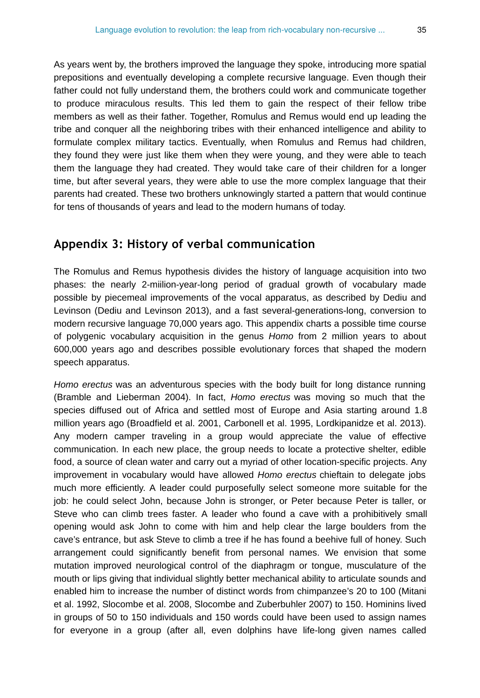As years went by, the brothers improved the language they spoke, introducing more spatial prepositions and eventually developing a complete recursive language. Even though their father could not fully understand them, the brothers could work and communicate together to produce miraculous results. This led them to gain the respect of their fellow tribe members as well as their father. Together, Romulus and Remus would end up leading the tribe and conquer all the neighboring tribes with their enhanced intelligence and ability to formulate complex military tactics. Eventually, when Romulus and Remus had children, they found they were just like them when they were young, and they were able to teach them the language they had created. They would take care of their children for a longer time, but after several years, they were able to use the more complex language that their parents had created. These two brothers unknowingly started a pattern that would continue for tens of thousands of years and lead to the modern humans of today.

## **Appendix 3: History of verbal communication**

The Romulus and Remus hypothesis divides the history of language acquisition into two phases: the nearly 2-miilion-year-long period of gradual growth of vocabulary made possible by piecemeal improvements of the vocal apparatus, as described by Dediu and Levinson (Dediu and Levinson 2013), and a fast several-generations-long, conversion to modern recursive language 70,000 years ago. This appendix charts a possible time course of polygenic vocabulary acquisition in the genus *Homo* from 2 million years to about 600,000 years ago and describes possible evolutionary forces that shaped the modern speech apparatus.

*Homo erectus* was an adventurous species with the body built for long distance running (Bramble and Lieberman 2004). In fact, *Homo erectus* was moving so much that the species diffused out of Africa and settled most of Europe and Asia starting around 1.8 million years ago (Broadfield et al. 2001, Carbonell et al. 1995, Lordkipanidze et al. 2013). Any modern camper traveling in a group would appreciate the value of effective communication. In each new place, the group needs to locate a protective shelter, edible food, a source of clean water and carry out a myriad of other location-specific projects. Any improvement in vocabulary would have allowed *Homo erectus* chieftain to delegate jobs much more efficiently. A leader could purposefully select someone more suitable for the job: he could select John, because John is stronger, or Peter because Peter is taller, or Steve who can climb trees faster. A leader who found a cave with a prohibitively small opening would ask John to come with him and help clear the large boulders from the cave's entrance, but ask Steve to climb a tree if he has found a beehive full of honey. Such arrangement could significantly benefit from personal names. We envision that some mutation improved neurological control of the diaphragm or tongue, musculature of the mouth or lips giving that individual slightly better mechanical ability to articulate sounds and enabled him to increase the number of distinct words from chimpanzee's 20 to 100 (Mitani et al. 1992, Slocombe et al. 2008, Slocombe and Zuberbuhler 2007) to 150. Hominins lived in groups of 50 to 150 individuals and 150 words could have been used to assign names for everyone in a group (after all, even dolphins have life-long given names called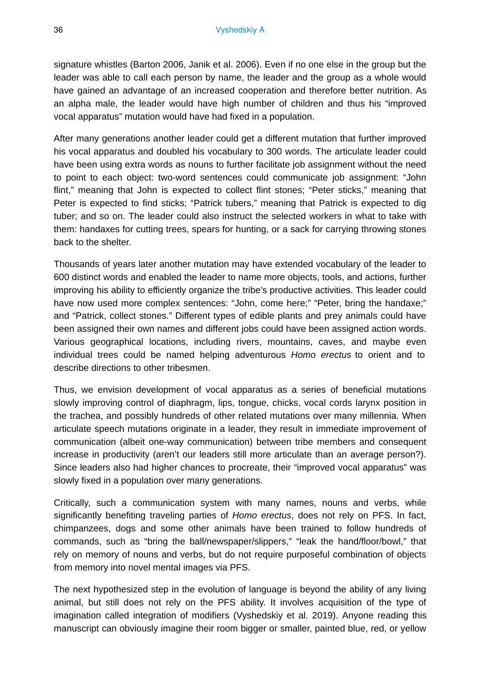signature whistles (Barton 2006, Janik et al. 2006). Even if no one else in the group but the leader was able to call each person by name, the leader and the group as a whole would have gained an advantage of an increased cooperation and therefore better nutrition. As an alpha male, the leader would have high number of children and thus his "improved vocal apparatus" mutation would have had fixed in a population.

After many generations another leader could get a different mutation that further improved his vocal apparatus and doubled his vocabulary to 300 words. The articulate leader could have been using extra words as nouns to further facilitate job assignment without the need to point to each object: two-word sentences could communicate job assignment: "John flint," meaning that John is expected to collect flint stones; "Peter sticks," meaning that Peter is expected to find sticks; "Patrick tubers," meaning that Patrick is expected to dig tuber; and so on. The leader could also instruct the selected workers in what to take with them: handaxes for cutting trees, spears for hunting, or a sack for carrying throwing stones back to the shelter.

Thousands of years later another mutation may have extended vocabulary of the leader to 600 distinct words and enabled the leader to name more objects, tools, and actions, further improving his ability to efficiently organize the tribe's productive activities. This leader could have now used more complex sentences: "John, come here;" "Peter, bring the handaxe;" and "Patrick, collect stones." Different types of edible plants and prey animals could have been assigned their own names and different jobs could have been assigned action words. Various geographical locations, including rivers, mountains, caves, and maybe even individual trees could be named helping adventurous *Homo erectus* to orient and to describe directions to other tribesmen.

Thus, we envision development of vocal apparatus as a series of beneficial mutations slowly improving control of diaphragm, lips, tongue, chicks, vocal cords larynx position in the trachea, and possibly hundreds of other related mutations over many millennia. When articulate speech mutations originate in a leader, they result in immediate improvement of communication (albeit one-way communication) between tribe members and consequent increase in productivity (aren't our leaders still more articulate than an average person?). Since leaders also had higher chances to procreate, their "improved vocal apparatus" was slowly fixed in a population over many generations.

Critically, such a communication system with many names, nouns and verbs, while significantly benefiting traveling parties of *Homo erectus*, does not rely on PFS. In fact, chimpanzees, dogs and some other animals have been trained to follow hundreds of commands, such as "bring the ball/newspaper/slippers," "leak the hand/floor/bowl," that rely on memory of nouns and verbs, but do not require purposeful combination of objects from memory into novel mental images via PFS.

The next hypothesized step in the evolution of language is beyond the ability of any living animal, but still does not rely on the PFS ability. It involves acquisition of the type of imagination called integration of modifiers (Vyshedskiy et al. 2019). Anyone reading this manuscript can obviously imagine their room bigger or smaller, painted blue, red, or yellow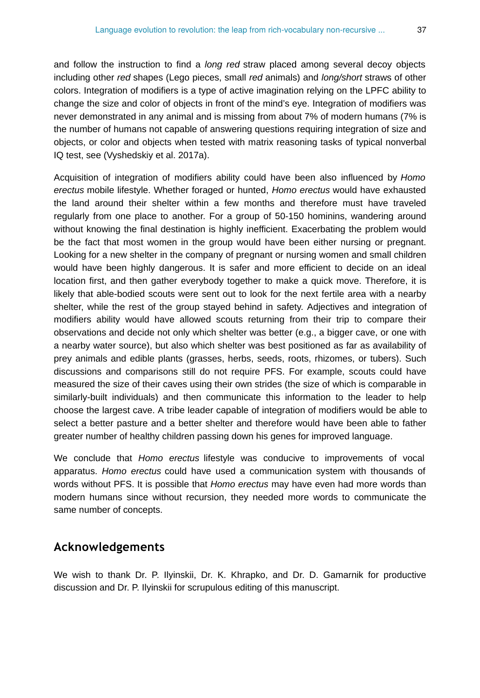and follow the instruction to find a *long red* straw placed among several decoy objects including other *red* shapes (Lego pieces, small *red* animals) and *long/short* straws of other colors. Integration of modifiers is a type of active imagination relying on the LPFC ability to change the size and color of objects in front of the mind's eye. Integration of modifiers was never demonstrated in any animal and is missing from about 7% of modern humans (7% is the number of humans not capable of answering questions requiring integration of size and objects, or color and objects when tested with matrix reasoning tasks of typical nonverbal IQ test, see (Vyshedskiy et al. 2017a).

Acquisition of integration of modifiers ability could have been also influenced by *Homo erectus* mobile lifestyle. Whether foraged or hunted, *Homo erectus* would have exhausted the land around their shelter within a few months and therefore must have traveled regularly from one place to another. For a group of 50-150 hominins, wandering around without knowing the final destination is highly inefficient. Exacerbating the problem would be the fact that most women in the group would have been either nursing or pregnant. Looking for a new shelter in the company of pregnant or nursing women and small children would have been highly dangerous. It is safer and more efficient to decide on an ideal location first, and then gather everybody together to make a quick move. Therefore, it is likely that able-bodied scouts were sent out to look for the next fertile area with a nearby shelter, while the rest of the group stayed behind in safety. Adjectives and integration of modifiers ability would have allowed scouts returning from their trip to compare their observations and decide not only which shelter was better (e.g., a bigger cave, or one with a nearby water source), but also which shelter was best positioned as far as availability of prey animals and edible plants (grasses, herbs, seeds, roots, rhizomes, or tubers). Such discussions and comparisons still do not require PFS. For example, scouts could have measured the size of their caves using their own strides (the size of which is comparable in similarly-built individuals) and then communicate this information to the leader to help choose the largest cave. A tribe leader capable of integration of modifiers would be able to select a better pasture and a better shelter and therefore would have been able to father greater number of healthy children passing down his genes for improved language.

We conclude that *Homo erectus* lifestyle was conducive to improvements of vocal apparatus. *Homo erectus* could have used a communication system with thousands of words without PFS. It is possible that *Homo erectus* may have even had more words than modern humans since without recursion, they needed more words to communicate the same number of concepts.

# **Acknowledgements**

We wish to thank Dr. P. Ilyinskii, Dr. K. Khrapko, and Dr. D. Gamarnik for productive discussion and Dr. P. Ilyinskii for scrupulous editing of this manuscript.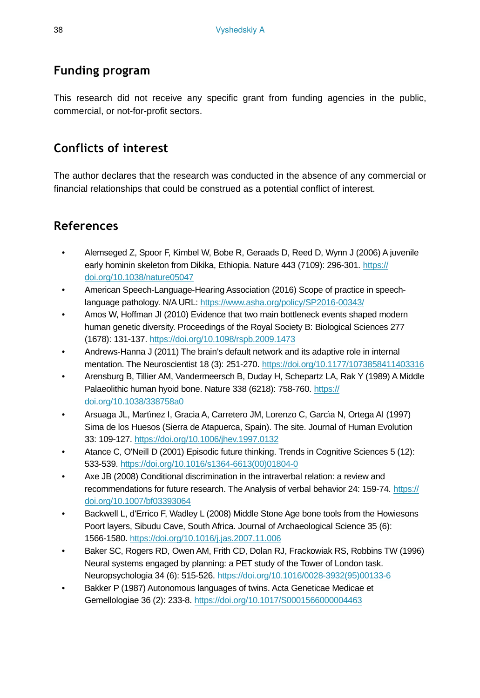# **Funding program**

This research did not receive any specific grant from funding agencies in the public, commercial, or not-for-profit sectors.

# **Conflicts of interest**

The author declares that the research was conducted in the absence of any commercial or financial relationships that could be construed as a potential conflict of interest.

# **References**

- Alemseged Z, Spoor F, Kimbel W, Bobe R, Geraads D, Reed D, Wynn J (2006) A juvenile early hominin skeleton from Dikika, Ethiopia. Nature 443 (7109): 296-301. [https://](https://doi.org/10.1038/nature05047) [doi.org/10.1038/nature05047](https://doi.org/10.1038/nature05047)
- American Speech-Language-Hearing Association (2016) Scope of practice in speechlanguage pathology. N/A URL:<https://www.asha.org/policy/SP2016-00343/>
- Amos W, Hoffman JI (2010) Evidence that two main bottleneck events shaped modern human genetic diversity. Proceedings of the Royal Society B: Biological Sciences 277 (1678): 131‑137. <https://doi.org/10.1098/rspb.2009.1473>
- Andrews-Hanna J (2011) The brain's default network and its adaptive role in internal mentation. The Neuroscientist 18 (3): 251-270.<https://doi.org/10.1177/1073858411403316>
- Arensburg B, Tillier AM, Vandermeersch B, Duday H, Schepartz LA, Rak Y (1989) A Middle Palaeolithic human hyoid bone. Nature 338 (6218): 758-760. [https://](https://doi.org/10.1038/338758a0) [doi.org/10.1038/338758a0](https://doi.org/10.1038/338758a0)
- Arsuaga JL, Martı́nez I, Gracia A, Carretero JM, Lorenzo C, Garcı́a N, Ortega AI (1997) Sima de los Huesos (Sierra de Atapuerca, Spain). The site. Journal of Human Evolution 33: 109‑127.<https://doi.org/10.1006/jhev.1997.0132>
- Atance C, O'Neill D (2001) Episodic future thinking. Trends in Cognitive Sciences 5 (12): 533‑539. [https://doi.org/10.1016/s1364-6613\(00\)01804-0](https://doi.org/10.1016/s1364-6613(00)01804-0)
- Axe JB (2008) Conditional discrimination in the intraverbal relation: a review and recommendations for future research. The Analysis of verbal behavior 24: 159-74. [https://](https://doi.org/10.1007/bf03393064) [doi.org/10.1007/bf03393064](https://doi.org/10.1007/bf03393064)
- Backwell L, d'Errico F, Wadley L (2008) Middle Stone Age bone tools from the Howiesons Poort layers, Sibudu Cave, South Africa. Journal of Archaeological Science 35 (6): 1566‑1580.<https://doi.org/10.1016/j.jas.2007.11.006>
- Baker SC, Rogers RD, Owen AM, Frith CD, Dolan RJ, Frackowiak RS, Robbins TW (1996) Neural systems engaged by planning: a PET study of the Tower of London task. Neuropsychologia 34 (6): 515‑526. [https://doi.org/10.1016/0028-3932\(95\)00133-6](https://doi.org/10.1016/0028-3932(95)00133-6)
- Bakker P (1987) Autonomous languages of twins. Acta Geneticae Medicae et Gemellologiae 36 (2): 233‑8.<https://doi.org/10.1017/S0001566000004463>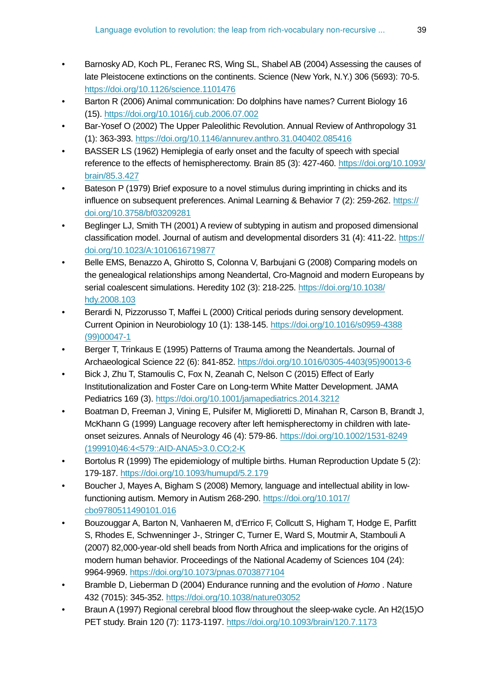- Barnosky AD, Koch PL, Feranec RS, Wing SL, Shabel AB (2004) Assessing the causes of late Pleistocene extinctions on the continents. Science (New York, N.Y.) 306 (5693): 70‑5. <https://doi.org/10.1126/science.1101476>
- Barton R (2006) Animal communication: Do dolphins have names? Current Biology 16 (15). <https://doi.org/10.1016/j.cub.2006.07.002>
- Bar-Yosef O (2002) The Upper Paleolithic Revolution. Annual Review of Anthropology 31 (1): 363‑393.<https://doi.org/10.1146/annurev.anthro.31.040402.085416>
- BASSER LS (1962) Hemiplegia of early onset and the faculty of speech with special reference to the effects of hemispherectomy. Brain 85 (3): 427‑460. [https://doi.org/10.1093/](https://doi.org/10.1093/brain/85.3.427) [brain/85.3.427](https://doi.org/10.1093/brain/85.3.427)
- Bateson P (1979) Brief exposure to a novel stimulus during imprinting in chicks and its influence on subsequent preferences. Animal Learning & Behavior 7 (2): 259‑262. [https://](https://doi.org/10.3758/bf03209281) [doi.org/10.3758/bf03209281](https://doi.org/10.3758/bf03209281)
- Beglinger LJ, Smith TH (2001) A review of subtyping in autism and proposed dimensional classification model. Journal of autism and developmental disorders 31 (4): 411-22. [https://](https://doi.org/10.1023/A:1010616719877) [doi.org/10.1023/A:1010616719877](https://doi.org/10.1023/A:1010616719877)
- Belle EMS, Benazzo A, Ghirotto S, Colonna V, Barbujani G (2008) Comparing models on the genealogical relationships among Neandertal, Cro-Magnoid and modern Europeans by serial coalescent simulations. Heredity 102 (3): 218-225. [https://doi.org/10.1038/](https://doi.org/10.1038/hdy.2008.103) [hdy.2008.103](https://doi.org/10.1038/hdy.2008.103)
- Berardi N, Pizzorusso T, Maffei L (2000) Critical periods during sensory development. Current Opinion in Neurobiology 10 (1): 138‑145. [https://doi.org/10.1016/s0959-4388](https://doi.org/10.1016/s0959-4388(99)00047-1) [\(99\)00047-1](https://doi.org/10.1016/s0959-4388(99)00047-1)
- Berger T, Trinkaus E (1995) Patterns of Trauma among the Neandertals. Journal of Archaeological Science 22 (6): 841‑852. [https://doi.org/10.1016/0305-4403\(95\)90013-6](https://doi.org/10.1016/0305-4403(95)90013-6)
- Bick J, Zhu T, Stamoulis C, Fox N, Zeanah C, Nelson C (2015) Effect of Early Institutionalization and Foster Care on Long-term White Matter Development. JAMA Pediatrics 169 (3). <https://doi.org/10.1001/jamapediatrics.2014.3212>
- Boatman D, Freeman J, Vining E, Pulsifer M, Miglioretti D, Minahan R, Carson B, Brandt J, McKhann G (1999) Language recovery after left hemispherectomy in children with lateonset seizures. Annals of Neurology 46 (4): 579‑86. [https://doi.org/10.1002/1531-8249](https://doi.org/10.1002/1531-8249(199910)46:4%3C579::AID-ANA5%3E3.0.CO;2-K) [\(199910\)46:4<579::AID-ANA5>3.0.CO;2-K](https://doi.org/10.1002/1531-8249(199910)46:4%3C579::AID-ANA5%3E3.0.CO;2-K)
- Bortolus R (1999) The epidemiology of multiple births. Human Reproduction Update 5 (2): 179‑187.<https://doi.org/10.1093/humupd/5.2.179>
- Boucher J, Mayes A, Bigham S (2008) Memory, language and intellectual ability in lowfunctioning autism. Memory in Autism 268‑290. [https://doi.org/10.1017/](https://doi.org/10.1017/cbo9780511490101.016) [cbo9780511490101.016](https://doi.org/10.1017/cbo9780511490101.016)
- Bouzouggar A, Barton N, Vanhaeren M, d'Errico F, Collcutt S, Higham T, Hodge E, Parfitt S, Rhodes E, Schwenninger J-, Stringer C, Turner E, Ward S, Moutmir A, Stambouli A (2007) 82,000-year-old shell beads from North Africa and implications for the origins of modern human behavior. Proceedings of the National Academy of Sciences 104 (24): 9964‑9969.<https://doi.org/10.1073/pnas.0703877104>
- Bramble D, Lieberman D (2004) Endurance running and the evolution of *Homo* . Nature 432 (7015): 345‑352. <https://doi.org/10.1038/nature03052>
- Braun A (1997) Regional cerebral blood flow throughout the sleep-wake cycle. An H2(15)O PET study. Brain 120 (7): 1173‑1197. <https://doi.org/10.1093/brain/120.7.1173>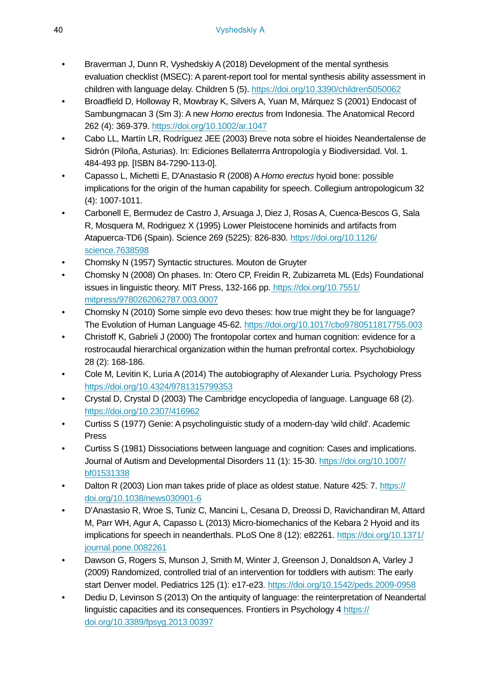- Braverman J, Dunn R, Vyshedskiy A (2018) Development of the mental synthesis evaluation checklist (MSEC): A parent-report tool for mental synthesis ability assessment in children with language delay. Children 5 (5).<https://doi.org/10.3390/children5050062>
- Broadfield D, Holloway R, Mowbray K, Silvers A, Yuan M, Márquez S (2001) Endocast of Sambungmacan 3 (Sm 3): A new *Homo erectus* from Indonesia. The Anatomical Record 262 (4): 369‑379.<https://doi.org/10.1002/ar.1047>
- Cabo LL, Martín LR, Rodríguez JEE (2003) Breve nota sobre el hioides Neandertalense de Sidrón (Piloña, Asturias). In: Ediciones Bellaterrra Antropología y Biodiversidad. Vol. 1. 484-493 pp. [ISBN 84-7290-113-0].
- Capasso L, Michetti E, D'Anastasio R (2008) A *Homo erectus* hyoid bone: possible implications for the origin of the human capability for speech. Collegium antropologicum 32 (4): 1007‑1011.
- Carbonell E, Bermudez de Castro J, Arsuaga J, Diez J, Rosas A, Cuenca-Bescos G, Sala R, Mosquera M, Rodriguez X (1995) Lower Pleistocene hominids and artifacts from Atapuerca-TD6 (Spain). Science 269 (5225): 826-830. [https://doi.org/10.1126/](https://doi.org/10.1126/science.7638598) [science.7638598](https://doi.org/10.1126/science.7638598)
- Chomsky N (1957) Syntactic structures. Mouton de Gruyter
- Chomsky N (2008) On phases. In: Otero CP, Freidin R, Zubizarreta ML (Eds) Foundational issues in linguistic theory. MIT Press, 132-166 pp. [https://doi.org/10.7551/](https://doi.org/10.7551/mitpress/9780262062787.003.0007) [mitpress/9780262062787.003.0007](https://doi.org/10.7551/mitpress/9780262062787.003.0007)
- Chomsky N (2010) Some simple evo devo theses: how true might they be for language? The Evolution of Human Language 45‑62. <https://doi.org/10.1017/cbo9780511817755.003>
- Christoff K, Gabrieli J (2000) The frontopolar cortex and human cognition: evidence for a rostrocaudal hierarchical organization within the human prefrontal cortex. Psychobiology 28 (2): 168‑186.
- Cole M, Levitin K, Luria A (2014) The autobiography of Alexander Luria. Psychology Press <https://doi.org/10.4324/9781315799353>
- Crystal D, Crystal D (2003) The Cambridge encyclopedia of language. Language 68 (2). <https://doi.org/10.2307/416962>
- Curtiss S (1977) Genie: A psycholinguistic study of a modern-day 'wild child'. Academic Press
- Curtiss S (1981) Dissociations between language and cognition: Cases and implications. Journal of Autism and Developmental Disorders 11 (1): 15‑30. [https://doi.org/10.1007/](https://doi.org/10.1007/bf01531338) [bf01531338](https://doi.org/10.1007/bf01531338)
- Dalton R (2003) Lion man takes pride of place as oldest statue. Nature 425: 7. [https://](https://doi.org/10.1038/news030901-6) [doi.org/10.1038/news030901-6](https://doi.org/10.1038/news030901-6)
- D'Anastasio R, Wroe S, Tuniz C, Mancini L, Cesana D, Dreossi D, Ravichandiran M, Attard M, Parr WH, Agur A, Capasso L (2013) Micro-biomechanics of the Kebara 2 Hyoid and its implications for speech in neanderthals. PLoS One 8 (12): e82261. [https://doi.org/10.1371/](https://doi.org/10.1371/journal.pone.0082261) [journal.pone.0082261](https://doi.org/10.1371/journal.pone.0082261)
- Dawson G, Rogers S, Munson J, Smith M, Winter J, Greenson J, Donaldson A, Varley J (2009) Randomized, controlled trial of an intervention for toddlers with autism: The early start Denver model. Pediatrics 125 (1): e17‑e23. <https://doi.org/10.1542/peds.2009-0958>
- Dediu D, Levinson S (2013) On the antiquity of language: the reinterpretation of Neandertal linguistic capacities and its consequences. Frontiers in Psychology 4 [https://](https://doi.org/10.3389/fpsyg.2013.00397) [doi.org/10.3389/fpsyg.2013.00397](https://doi.org/10.3389/fpsyg.2013.00397)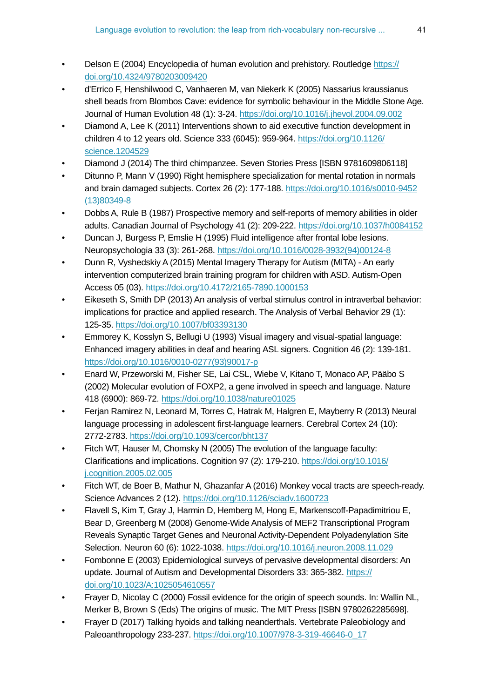- Delson E (2004) Encyclopedia of human evolution and prehistory. Routledge [https://](https://doi.org/10.4324/9780203009420) [doi.org/10.4324/9780203009420](https://doi.org/10.4324/9780203009420)
- d'Errico F, Henshilwood C, Vanhaeren M, van Niekerk K (2005) Nassarius kraussianus shell beads from Blombos Cave: evidence for symbolic behaviour in the Middle Stone Age. Journal of Human Evolution 48 (1): 3‑24.<https://doi.org/10.1016/j.jhevol.2004.09.002>
- Diamond A, Lee K (2011) Interventions shown to aid executive function development in children 4 to 12 years old. Science 333 (6045): 959‑964. [https://doi.org/10.1126/](https://doi.org/10.1126/science.1204529) [science.1204529](https://doi.org/10.1126/science.1204529)
- Diamond J (2014) The third chimpanzee. Seven Stories Press [ISBN 9781609806118]
- Ditunno P, Mann V (1990) Right hemisphere specialization for mental rotation in normals and brain damaged subjects. Cortex 26 (2): 177‑188. [https://doi.org/10.1016/s0010-9452](https://doi.org/10.1016/s0010-9452(13)80349-8) [\(13\)80349-8](https://doi.org/10.1016/s0010-9452(13)80349-8)
- Dobbs A, Rule B (1987) Prospective memory and self-reports of memory abilities in older adults. Canadian Journal of Psychology 41 (2): 209‑222. <https://doi.org/10.1037/h0084152>
- Duncan J, Burgess P, Emslie H (1995) Fluid intelligence after frontal lobe lesions. Neuropsychologia 33 (3): 261‑268. [https://doi.org/10.1016/0028-3932\(94\)00124-8](https://doi.org/10.1016/0028-3932(94)00124-8)
- Dunn R, Vyshedskiy A (2015) Mental Imagery Therapy for Autism (MITA) An early intervention computerized brain training program for children with ASD. Autism-Open Access 05 (03).<https://doi.org/10.4172/2165-7890.1000153>
- Eikeseth S, Smith DP (2013) An analysis of verbal stimulus control in intraverbal behavior: implications for practice and applied research. The Analysis of Verbal Behavior 29 (1): 125‑35. <https://doi.org/10.1007/bf03393130>
- Emmorey K, Kosslyn S, Bellugi U (1993) Visual imagery and visual-spatial language: Enhanced imagery abilities in deaf and hearing ASL signers. Cognition 46 (2): 139-181. [https://doi.org/10.1016/0010-0277\(93\)90017-p](https://doi.org/10.1016/0010-0277(93)90017-p)
- Enard W, Przeworski M, Fisher SE, Lai CSL, Wiebe V, Kitano T, Monaco AP, Pääbo S (2002) Molecular evolution of FOXP2, a gene involved in speech and language. Nature 418 (6900): 869‑72.<https://doi.org/10.1038/nature01025>
- Ferjan Ramirez N, Leonard M, Torres C, Hatrak M, Halgren E, Mayberry R (2013) Neural language processing in adolescent first-language learners. Cerebral Cortex 24 (10): 2772‑2783.<https://doi.org/10.1093/cercor/bht137>
- Fitch WT, Hauser M, Chomsky N (2005) The evolution of the language faculty: Clarifications and implications. Cognition 97 (2): 179‑210. [https://doi.org/10.1016/](https://doi.org/10.1016/j.cognition.2005.02.005) [j.cognition.2005.02.005](https://doi.org/10.1016/j.cognition.2005.02.005)
- Fitch WT, de Boer B, Mathur N, Ghazanfar A (2016) Monkey vocal tracts are speech-ready. Science Advances 2 (12).<https://doi.org/10.1126/sciadv.1600723>
- Flavell S, Kim T, Gray J, Harmin D, Hemberg M, Hong E, Markenscoff-Papadimitriou E, Bear D, Greenberg M (2008) Genome-Wide Analysis of MEF2 Transcriptional Program Reveals Synaptic Target Genes and Neuronal Activity-Dependent Polyadenylation Site Selection. Neuron 60 (6): 1022-1038.<https://doi.org/10.1016/j.neuron.2008.11.029>
- Fombonne E (2003) Epidemiological surveys of pervasive developmental disorders: An update. Journal of Autism and Developmental Disorders 33: 365‑382. [https://](https://doi.org/10.1023/A:1025054610557) [doi.org/10.1023/A:1025054610557](https://doi.org/10.1023/A:1025054610557)
- Frayer D, Nicolay C (2000) Fossil evidence for the origin of speech sounds. In: Wallin NL, Merker B, Brown S (Eds) The origins of music. The MIT Press [ISBN 9780262285698].
- Frayer D (2017) Talking hyoids and talking neanderthals. Vertebrate Paleobiology and Paleoanthropology 233‑237. [https://doi.org/10.1007/978-3-319-46646-0\\_17](https://doi.org/10.1007/978-3-319-46646-0_17)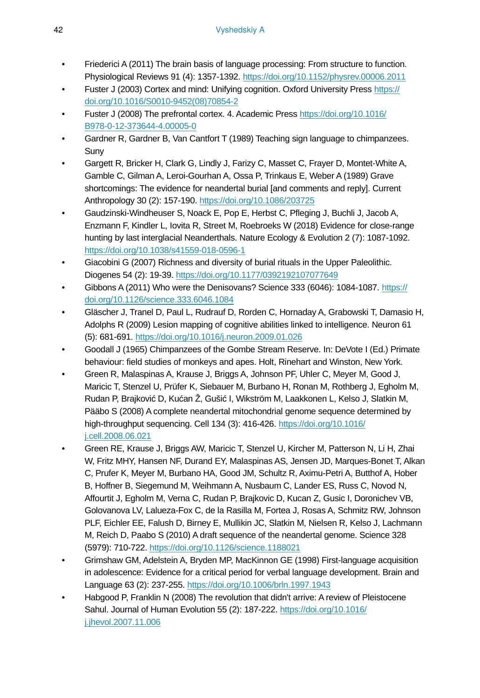- Friederici A (2011) The brain basis of language processing: From structure to function. Physiological Reviews 91 (4): 1357‑1392. <https://doi.org/10.1152/physrev.00006.2011>
- Fuster J (2003) Cortex and mind: Unifying cognition. Oxford University Press [https://](https://doi.org/10.1016/S0010-9452(08)70854-2) [doi.org/10.1016/S0010-9452\(08\)70854-2](https://doi.org/10.1016/S0010-9452(08)70854-2)
- Fuster J (2008) The prefrontal cortex. 4. Academic Press [https://doi.org/10.1016/](https://doi.org/10.1016/B978-0-12-373644-4.00005-0) [B978-0-12-373644-4.00005-0](https://doi.org/10.1016/B978-0-12-373644-4.00005-0)
- Gardner R, Gardner B, Van Cantfort T (1989) Teaching sign language to chimpanzees. Suny
- Gargett R, Bricker H, Clark G, Lindly J, Farizy C, Masset C, Frayer D, Montet-White A, Gamble C, Gilman A, Leroi-Gourhan A, Ossa P, Trinkaus E, Weber A (1989) Grave shortcomings: The evidence for neandertal burial [and comments and reply]. Current Anthropology 30 (2): 157‑190.<https://doi.org/10.1086/203725>
- Gaudzinski-Windheuser S, Noack E, Pop E, Herbst C, Pfleging J, Buchli J, Jacob A, Enzmann F, Kindler L, Iovita R, Street M, Roebroeks W (2018) Evidence for close-range hunting by last interglacial Neanderthals. Nature Ecology & Evolution 2 (7): 1087-1092. <https://doi.org/10.1038/s41559-018-0596-1>
- Giacobini G (2007) Richness and diversity of burial rituals in the Upper Paleolithic. Diogenes 54 (2): 19‑39.<https://doi.org/10.1177/0392192107077649>
- Gibbons A (2011) Who were the Denisovans? Science 333 (6046): 1084‑1087. [https://](https://doi.org/10.1126/science.333.6046.1084) [doi.org/10.1126/science.333.6046.1084](https://doi.org/10.1126/science.333.6046.1084)
- Gläscher J, Tranel D, Paul L, Rudrauf D, Rorden C, Hornaday A, Grabowski T, Damasio H, Adolphs R (2009) Lesion mapping of cognitive abilities linked to intelligence. Neuron 61 (5): 681‑691.<https://doi.org/10.1016/j.neuron.2009.01.026>
- Goodall J (1965) Chimpanzees of the Gombe Stream Reserve. In: DeVote I (Ed.) Primate behaviour: field studies of monkeys and apes. Holt, Rinehart and Winston, New York.
- Green R, Malaspinas A, Krause J, Briggs A, Johnson PF, Uhler C, Meyer M, Good J, Maricic T, Stenzel U, Prüfer K, Siebauer M, Burbano H, Ronan M, Rothberg J, Egholm M, Rudan P, Brajković D, Kućan Ž, Gušić I, Wikström M, Laakkonen L, Kelso J, Slatkin M, Pääbo S (2008) A complete neandertal mitochondrial genome sequence determined by high-throughput sequencing. Cell 134 (3): 416‑426. [https://doi.org/10.1016/](https://doi.org/10.1016/j.cell.2008.06.021) [j.cell.2008.06.021](https://doi.org/10.1016/j.cell.2008.06.021)
- Green RE, Krause J, Briggs AW, Maricic T, Stenzel U, Kircher M, Patterson N, Li H, Zhai W, Fritz MHY, Hansen NF, Durand EY, Malaspinas AS, Jensen JD, Marques-Bonet T, Alkan C, Prufer K, Meyer M, Burbano HA, Good JM, Schultz R, Aximu-Petri A, Butthof A, Hober B, Hoffner B, Siegemund M, Weihmann A, Nusbaum C, Lander ES, Russ C, Novod N, Affourtit J, Egholm M, Verna C, Rudan P, Brajkovic D, Kucan Z, Gusic I, Doronichev VB, Golovanova LV, Lalueza-Fox C, de la Rasilla M, Fortea J, Rosas A, Schmitz RW, Johnson PLF, Eichler EE, Falush D, Birney E, Mullikin JC, Slatkin M, Nielsen R, Kelso J, Lachmann M, Reich D, Paabo S (2010) A draft sequence of the neandertal genome. Science 328 (5979): 710‑722. <https://doi.org/10.1126/science.1188021>
- Grimshaw GM, Adelstein A, Bryden MP, MacKinnon GE (1998) First-language acquisition in adolescence: Evidence for a critical period for verbal language development. Brain and Language 63 (2): 237‑255.<https://doi.org/10.1006/brln.1997.1943>
- Habgood P, Franklin N (2008) The revolution that didn't arrive: A review of Pleistocene Sahul. Journal of Human Evolution 55 (2): 187‑222. [https://doi.org/10.1016/](https://doi.org/10.1016/j.jhevol.2007.11.006) [j.jhevol.2007.11.006](https://doi.org/10.1016/j.jhevol.2007.11.006)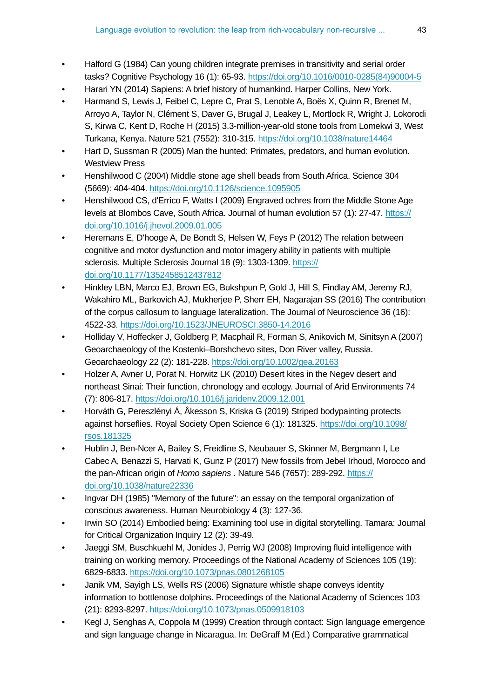- Halford G (1984) Can young children integrate premises in transitivity and serial order tasks? Cognitive Psychology 16 (1): 65‑93. [https://doi.org/10.1016/0010-0285\(84\)90004-5](https://doi.org/10.1016/0010-0285(84)90004-5)
- Harari YN (2014) Sapiens: A brief history of humankind. Harper Collins, New York.
- Harmand S, Lewis J, Feibel C, Lepre C, Prat S, Lenoble A, Boës X, Quinn R, Brenet M, Arroyo A, Taylor N, Clément S, Daver G, Brugal J, Leakey L, Mortlock R, Wright J, Lokorodi S, Kirwa C, Kent D, Roche H (2015) 3.3-million-year-old stone tools from Lomekwi 3, West Turkana, Kenya. Nature 521 (7552): 310‑315.<https://doi.org/10.1038/nature14464>
- Hart D, Sussman R (2005) Man the hunted: Primates, predators, and human evolution. Westview Press
- Henshilwood C (2004) Middle stone age shell beads from South Africa. Science 304 (5669): 404‑404. <https://doi.org/10.1126/science.1095905>
- Henshilwood CS, d'Errico F, Watts I (2009) Engraved ochres from the Middle Stone Age levels at Blombos Cave, South Africa. Journal of human evolution 57 (1): 27‑47. [https://](https://doi.org/10.1016/j.jhevol.2009.01.005) [doi.org/10.1016/j.jhevol.2009.01.005](https://doi.org/10.1016/j.jhevol.2009.01.005)
- Heremans E, D'hooge A, De Bondt S, Helsen W, Feys P (2012) The relation between cognitive and motor dysfunction and motor imagery ability in patients with multiple sclerosis. Multiple Sclerosis Journal 18 (9): 1303-1309. [https://](https://doi.org/10.1177/1352458512437812) [doi.org/10.1177/1352458512437812](https://doi.org/10.1177/1352458512437812)
- Hinkley LBN, Marco EJ, Brown EG, Bukshpun P, Gold J, Hill S, Findlay AM, Jeremy RJ, Wakahiro ML, Barkovich AJ, Mukherjee P, Sherr EH, Nagarajan SS (2016) The contribution of the corpus callosum to language lateralization. The Journal of Neuroscience 36 (16): 4522‑33.<https://doi.org/10.1523/JNEUROSCI.3850-14.2016>
- Holliday V, Hoffecker J, Goldberg P, Macphail R, Forman S, Anikovich M, Sinitsyn A (2007) Geoarchaeology of the Kostenki–Borshchevo sites, Don River valley, Russia. Geoarchaeology 22 (2): 181‑228.<https://doi.org/10.1002/gea.20163>
- Holzer A, Avner U, Porat N, Horwitz LK (2010) Desert kites in the Negev desert and northeast Sinai: Their function, chronology and ecology. Journal of Arid Environments 74 (7): 806‑817.<https://doi.org/10.1016/j.jaridenv.2009.12.001>
- Horváth G, Pereszlényi Á, Åkesson S, Kriska G (2019) Striped bodypainting protects against horseflies. Royal Society Open Science 6 (1): 181325. [https://doi.org/10.1098/](https://doi.org/10.1098/rsos.181325) [rsos.181325](https://doi.org/10.1098/rsos.181325)
- Hublin J, Ben-Ncer A, Bailey S, Freidline S, Neubauer S, Skinner M, Bergmann I, Le Cabec A, Benazzi S, Harvati K, Gunz P (2017) New fossils from Jebel Irhoud, Morocco and the pan-African origin of *Homo sapiens* . Nature 546 (7657): 289‑292. [https://](https://doi.org/10.1038/nature22336) [doi.org/10.1038/nature22336](https://doi.org/10.1038/nature22336)
- Ingvar DH (1985) "Memory of the future": an essay on the temporal organization of conscious awareness. Human Neurobiology 4 (3): 127‑36.
- Irwin SO (2014) Embodied being: Examining tool use in digital storytelling. Tamara: Journal for Critical Organization Inquiry 12 (2): 39-49.
- Jaeggi SM, Buschkuehl M, Jonides J, Perrig WJ (2008) Improving fluid intelligence with training on working memory. Proceedings of the National Academy of Sciences 105 (19): 6829‑6833.<https://doi.org/10.1073/pnas.0801268105>
- Janik VM, Sayigh LS, Wells RS (2006) Signature whistle shape conveys identity information to bottlenose dolphins. Proceedings of the National Academy of Sciences 103 (21): 8293‑8297. <https://doi.org/10.1073/pnas.0509918103>
- Kegl J, Senghas A, Coppola M (1999) Creation through contact: Sign language emergence and sign language change in Nicaragua. In: DeGraff M (Ed.) Comparative grammatical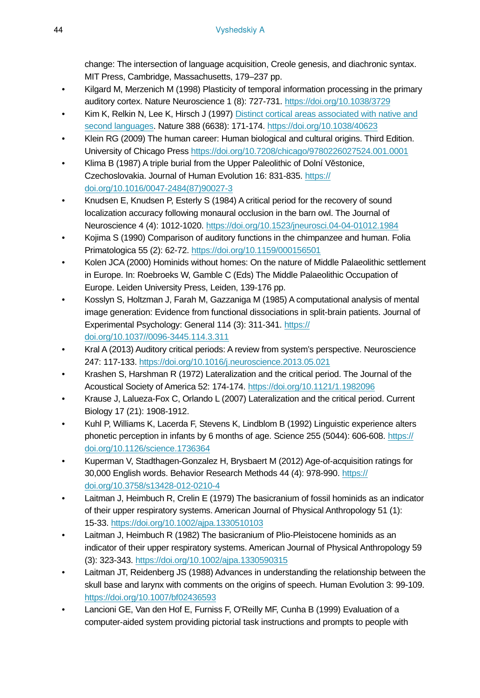change: The intersection of language acquisition, Creole genesis, and diachronic syntax. MIT Press, Cambridge, Massachusetts, 179–237 pp.

- Kilgard M, Merzenich M (1998) Plasticity of temporal information processing in the primary auditory cortex. Nature Neuroscience 1 (8): 727‑731.<https://doi.org/10.1038/3729>
- Kim K, Relkin N, Lee K, Hirsch J (1997) [Distinct cortical areas associated with native and](https://www.nature.com/articles/40623) [second languages](https://www.nature.com/articles/40623). Nature 388 (6638): 171-174.<https://doi.org/10.1038/40623>
- Klein RG (2009) The human career: Human biological and cultural origins. Third Edition. University of Chicago Press<https://doi.org/10.7208/chicago/9780226027524.001.0001>
- Klima B (1987) A triple burial from the Upper Paleolithic of Dolní Věstonice, Czechoslovakia. Journal of Human Evolution 16: 831‑835. [https://](https://doi.org/10.1016/0047-2484(87)90027-3) [doi.org/10.1016/0047-2484\(87\)90027-3](https://doi.org/10.1016/0047-2484(87)90027-3)
- Knudsen E, Knudsen P, Esterly S (1984) A critical period for the recovery of sound localization accuracy following monaural occlusion in the barn owl. The Journal of Neuroscience 4 (4): 1012‑1020. <https://doi.org/10.1523/jneurosci.04-04-01012.1984>
- Kojima S (1990) Comparison of auditory functions in the chimpanzee and human. Folia Primatologica 55 (2): 62‑72. <https://doi.org/10.1159/000156501>
- Kolen JCA (2000) Hominids without homes: On the nature of Middle Palaeolithic settlement in Europe. In: Roebroeks W, Gamble C (Eds) The Middle Palaeolithic Occupation of Europe. Leiden University Press, Leiden, 139-176 pp.
- Kosslyn S, Holtzman J, Farah M, Gazzaniga M (1985) A computational analysis of mental image generation: Evidence from functional dissociations in split-brain patients. Journal of Experimental Psychology: General 114 (3): 311‑341. [https://](https://doi.org/10.1037//0096-3445.114.3.311) [doi.org/10.1037//0096-3445.114.3.311](https://doi.org/10.1037//0096-3445.114.3.311)
- Kral A (2013) Auditory critical periods: A review from system's perspective. Neuroscience 247: 117‑133. <https://doi.org/10.1016/j.neuroscience.2013.05.021>
- Krashen S, Harshman R (1972) Lateralization and the critical period. The Journal of the Acoustical Society of America 52: 174‑174. <https://doi.org/10.1121/1.1982096>
- Krause J, Lalueza-Fox C, Orlando L (2007) Lateralization and the critical period. Current Biology 17 (21): 1908‑1912.
- Kuhl P, Williams K, Lacerda F, Stevens K, Lindblom B (1992) Linguistic experience alters phonetic perception in infants by 6 months of age. Science 255 (5044): 606‑608. [https://](https://doi.org/10.1126/science.1736364) [doi.org/10.1126/science.1736364](https://doi.org/10.1126/science.1736364)
- Kuperman V, Stadthagen-Gonzalez H, Brysbaert M (2012) Age-of-acquisition ratings for 30,000 English words. Behavior Research Methods 44 (4): 978‑990. [https://](https://doi.org/10.3758/s13428-012-0210-4) [doi.org/10.3758/s13428-012-0210-4](https://doi.org/10.3758/s13428-012-0210-4)
- Laitman J, Heimbuch R, Crelin E (1979) The basicranium of fossil hominids as an indicator of their upper respiratory systems. American Journal of Physical Anthropology 51 (1): 15‑33.<https://doi.org/10.1002/ajpa.1330510103>
- Laitman J, Heimbuch R (1982) The basicranium of Plio-Pleistocene hominids as an indicator of their upper respiratory systems. American Journal of Physical Anthropology 59 (3): 323‑343.<https://doi.org/10.1002/ajpa.1330590315>
- Laitman JT, Reidenberg JS (1988) Advances in understanding the relationship between the skull base and larynx with comments on the origins of speech. Human Evolution 3: 99-109. <https://doi.org/10.1007/bf02436593>
- Lancioni GE, Van den Hof E, Furniss F, O'Reilly MF, Cunha B (1999) Evaluation of a computer-aided system providing pictorial task instructions and prompts to people with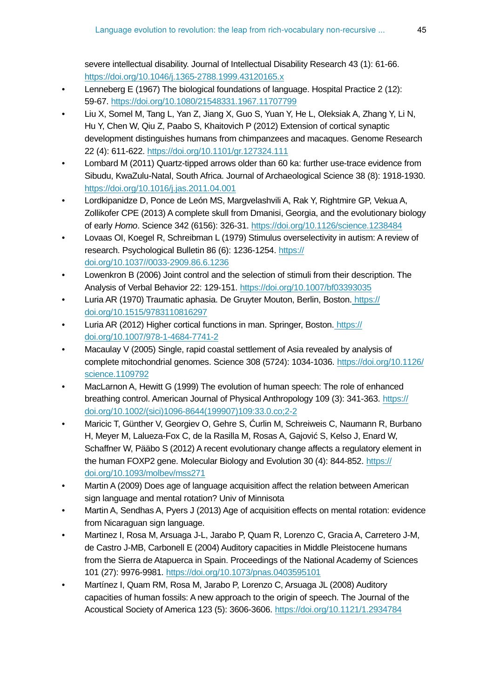severe intellectual disability. Journal of Intellectual Disability Research 43 (1): 61-66. <https://doi.org/10.1046/j.1365-2788.1999.43120165.x>

- Lenneberg E (1967) The biological foundations of language. Hospital Practice 2 (12): 59‑67.<https://doi.org/10.1080/21548331.1967.11707799>
- Liu X, Somel M, Tang L, Yan Z, Jiang X, Guo S, Yuan Y, He L, Oleksiak A, Zhang Y, Li N, Hu Y, Chen W, Qiu Z, Paabo S, Khaitovich P (2012) Extension of cortical synaptic development distinguishes humans from chimpanzees and macaques. Genome Research 22 (4): 611‑622.<https://doi.org/10.1101/gr.127324.111>
- Lombard M (2011) Quartz-tipped arrows older than 60 ka: further use-trace evidence from Sibudu, KwaZulu-Natal, South Africa. Journal of Archaeological Science 38 (8): 1918-1930. <https://doi.org/10.1016/j.jas.2011.04.001>
- Lordkipanidze D, Ponce de León MS, Margvelashvili A, Rak Y, Rightmire GP, Vekua A, Zollikofer CPE (2013) A complete skull from Dmanisi, Georgia, and the evolutionary biology of early *Homo*. Science 342 (6156): 326‑31. <https://doi.org/10.1126/science.1238484>
- Lovaas OI, Koegel R, Schreibman L (1979) Stimulus overselectivity in autism: A review of research. Psychological Bulletin 86 (6): 1236-1254. [https://](https://doi.org/10.1037//0033-2909.86.6.1236) [doi.org/10.1037//0033-2909.86.6.1236](https://doi.org/10.1037//0033-2909.86.6.1236)
- Lowenkron B (2006) Joint control and the selection of stimuli from their description. The Analysis of Verbal Behavior 22: 129‑151. <https://doi.org/10.1007/bf03393035>
- Luria AR (1970) Traumatic aphasia. De Gruyter Mouton, Berlin, Boston. [https://](https://doi.org/10.1515/9783110816297) [doi.org/10.1515/9783110816297](https://doi.org/10.1515/9783110816297)
- Luria AR (2012) Higher cortical functions in man. Springer, Boston[. https://](https://doi.org/10.1007/978-1-4684-7741-2) [doi.org/10.1007/978-1-4684-7741-2](https://doi.org/10.1007/978-1-4684-7741-2)
- Macaulay V (2005) Single, rapid coastal settlement of Asia revealed by analysis of complete mitochondrial genomes. Science 308 (5724): 1034-1036. [https://doi.org/10.1126/](https://doi.org/10.1126/science.1109792) [science.1109792](https://doi.org/10.1126/science.1109792)
- MacLarnon A, Hewitt G (1999) The evolution of human speech: The role of enhanced breathing control. American Journal of Physical Anthropology 109 (3): 341‑363. [https://](https://doi.org/10.1002/(sici)1096-8644(199907)109:33.0.co;2-2) [doi.org/10.1002/\(sici\)1096-8644\(199907\)109:33.0.co;2-2](https://doi.org/10.1002/(sici)1096-8644(199907)109:33.0.co;2-2)
- Maricic T, Günther V, Georgiev O, Gehre S, Ćurlin M, Schreiweis C, Naumann R, Burbano H, Meyer M, Lalueza-Fox C, de la Rasilla M, Rosas A, Gajović S, Kelso J, Enard W, Schaffner W, Pääbo S (2012) A recent evolutionary change affects a regulatory element in the human FOXP2 gene. Molecular Biology and Evolution 30 (4): 844‑852. [https://](https://doi.org/10.1093/molbev/mss271) [doi.org/10.1093/molbev/mss271](https://doi.org/10.1093/molbev/mss271)
- Martin A (2009) Does age of language acquisition affect the relation between American sign language and mental rotation? Univ of Minnisota
- Martin A, Sendhas A, Pyers J (2013) Age of acquisition effects on mental rotation: evidence from Nicaraguan sign language.
- Martinez I, Rosa M, Arsuaga J-L, Jarabo P, Quam R, Lorenzo C, Gracia A, Carretero J-M, de Castro J-MB, Carbonell E (2004) Auditory capacities in Middle Pleistocene humans from the Sierra de Atapuerca in Spain. Proceedings of the National Academy of Sciences 101 (27): 9976‑9981. <https://doi.org/10.1073/pnas.0403595101>
- Martínez I, Quam RM, Rosa M, Jarabo P, Lorenzo C, Arsuaga JL (2008) Auditory capacities of human fossils: A new approach to the origin of speech. The Journal of the Acoustical Society of America 123 (5): 3606‑3606. <https://doi.org/10.1121/1.2934784>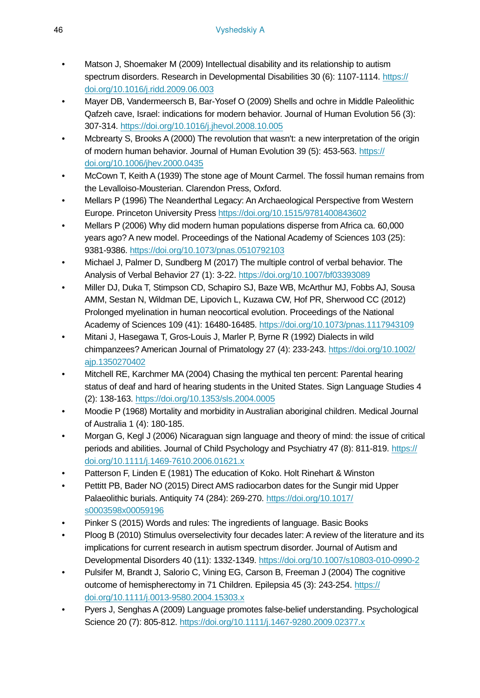- Matson J, Shoemaker M (2009) Intellectual disability and its relationship to autism spectrum disorders. Research in Developmental Disabilities 30 (6): 1107-1114. [https://](https://doi.org/10.1016/j.ridd.2009.06.003) [doi.org/10.1016/j.ridd.2009.06.003](https://doi.org/10.1016/j.ridd.2009.06.003)
- Mayer DB, Vandermeersch B, Bar-Yosef O (2009) Shells and ochre in Middle Paleolithic Qafzeh cave, Israel: indications for modern behavior. Journal of Human Evolution 56 (3): 307‑314.<https://doi.org/10.1016/j.jhevol.2008.10.005>
- Mcbrearty S, Brooks A (2000) The revolution that wasn't: a new interpretation of the origin of modern human behavior. Journal of Human Evolution 39 (5): 453‑563. [https://](https://doi.org/10.1006/jhev.2000.0435) [doi.org/10.1006/jhev.2000.0435](https://doi.org/10.1006/jhev.2000.0435)
- McCown T, Keith A (1939) The stone age of Mount Carmel. The fossil human remains from the Levalloiso-Mousterian. Clarendon Press, Oxford.
- Mellars P (1996) The Neanderthal Legacy: An Archaeological Perspective from Western Europe. Princeton University Press <https://doi.org/10.1515/9781400843602>
- Mellars P (2006) Why did modern human populations disperse from Africa ca. 60,000 years ago? A new model. Proceedings of the National Academy of Sciences 103 (25): 9381‑9386.<https://doi.org/10.1073/pnas.0510792103>
- Michael J, Palmer D, Sundberg M (2017) The multiple control of verbal behavior. The Analysis of Verbal Behavior 27 (1): 3‑22.<https://doi.org/10.1007/bf03393089>
- Miller DJ, Duka T, Stimpson CD, Schapiro SJ, Baze WB, McArthur MJ, Fobbs AJ, Sousa AMM, Sestan N, Wildman DE, Lipovich L, Kuzawa CW, Hof PR, Sherwood CC (2012) Prolonged myelination in human neocortical evolution. Proceedings of the National Academy of Sciences 109 (41): 16480‑16485. <https://doi.org/10.1073/pnas.1117943109>
- Mitani J, Hasegawa T, Gros-Louis J, Marler P, Byrne R (1992) Dialects in wild chimpanzees? American Journal of Primatology 27 (4): 233‑243. [https://doi.org/10.1002/](https://doi.org/10.1002/ajp.1350270402) [ajp.1350270402](https://doi.org/10.1002/ajp.1350270402)
- Mitchell RE, Karchmer MA (2004) Chasing the mythical ten percent: Parental hearing status of deaf and hard of hearing students in the United States. Sign Language Studies 4 (2): 138‑163.<https://doi.org/10.1353/sls.2004.0005>
- Moodie P (1968) Mortality and morbidity in Australian aboriginal children. Medical Journal of Australia 1 (4): 180‑185.
- Morgan G, Kegl J (2006) Nicaraguan sign language and theory of mind: the issue of critical periods and abilities. Journal of Child Psychology and Psychiatry 47 (8): 811‑819. [https://](https://doi.org/10.1111/j.1469-7610.2006.01621.x) [doi.org/10.1111/j.1469-7610.2006.01621.x](https://doi.org/10.1111/j.1469-7610.2006.01621.x)
- Patterson F, Linden E (1981) The education of Koko. Holt Rinehart & Winston
- Pettitt PB, Bader NO (2015) Direct AMS radiocarbon dates for the Sungir mid Upper Palaeolithic burials. Antiquity 74 (284): 269-270. [https://doi.org/10.1017/](https://doi.org/10.1017/s0003598x00059196) [s0003598x00059196](https://doi.org/10.1017/s0003598x00059196)
- Pinker S (2015) Words and rules: The ingredients of language. Basic Books
- Ploog B (2010) Stimulus overselectivity four decades later: A review of the literature and its implications for current research in autism spectrum disorder. Journal of Autism and Developmental Disorders 40 (11): 1332‑1349.<https://doi.org/10.1007/s10803-010-0990-2>
- Pulsifer M, Brandt J, Salorio C, Vining EG, Carson B, Freeman J (2004) The cognitive outcome of hemispherectomy in 71 Children. Epilepsia 45 (3): 243-254. [https://](https://doi.org/10.1111/j.0013-9580.2004.15303.x) [doi.org/10.1111/j.0013-9580.2004.15303.x](https://doi.org/10.1111/j.0013-9580.2004.15303.x)
- Pyers J, Senghas A (2009) Language promotes false-belief understanding. Psychological Science 20 (7): 805-812.<https://doi.org/10.1111/j.1467-9280.2009.02377.x>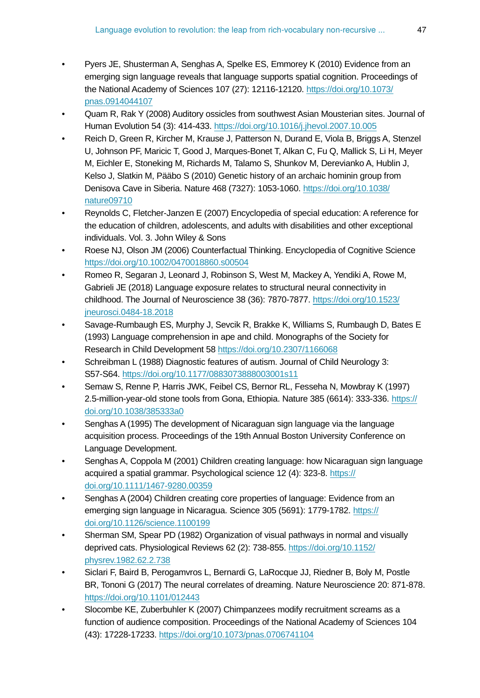- Pyers JE, Shusterman A, Senghas A, Spelke ES, Emmorey K (2010) Evidence from an emerging sign language reveals that language supports spatial cognition. Proceedings of the National Academy of Sciences 107 (27): 12116‑12120. [https://doi.org/10.1073/](https://doi.org/10.1073/pnas.0914044107) [pnas.0914044107](https://doi.org/10.1073/pnas.0914044107)
- Quam R, Rak Y (2008) Auditory ossicles from southwest Asian Mousterian sites. Journal of Human Evolution 54 (3): 414‑433. <https://doi.org/10.1016/j.jhevol.2007.10.005>
- Reich D, Green R, Kircher M, Krause J, Patterson N, Durand E, Viola B, Briggs A, Stenzel U, Johnson PF, Maricic T, Good J, Marques-Bonet T, Alkan C, Fu Q, Mallick S, Li H, Meyer M, Eichler E, Stoneking M, Richards M, Talamo S, Shunkov M, Derevianko A, Hublin J, Kelso J, Slatkin M, Pääbo S (2010) Genetic history of an archaic hominin group from Denisova Cave in Siberia. Nature 468 (7327): 1053‑1060. [https://doi.org/10.1038/](https://doi.org/10.1038/nature09710) [nature09710](https://doi.org/10.1038/nature09710)
- Reynolds C, Fletcher-Janzen E (2007) Encyclopedia of special education: A reference for the education of children, adolescents, and adults with disabilities and other exceptional individuals. Vol. 3. John Wiley & Sons
- Roese NJ, Olson JM (2006) Counterfactual Thinking. Encyclopedia of Cognitive Science <https://doi.org/10.1002/0470018860.s00504>
- Romeo R, Segaran J, Leonard J, Robinson S, West M, Mackey A, Yendiki A, Rowe M, Gabrieli JE (2018) Language exposure relates to structural neural connectivity in childhood. The Journal of Neuroscience 38 (36): 7870-7877. [https://doi.org/10.1523/](https://doi.org/10.1523/jneurosci.0484-18.2018) [jneurosci.0484-18.2018](https://doi.org/10.1523/jneurosci.0484-18.2018)
- Savage-Rumbaugh ES, Murphy J, Sevcik R, Brakke K, Williams S, Rumbaugh D, Bates E (1993) Language comprehension in ape and child. Monographs of the Society for Research in Child Development 58<https://doi.org/10.2307/1166068>
- Schreibman L (1988) Diagnostic features of autism. Journal of Child Neurology 3: S57‑S64.<https://doi.org/10.1177/0883073888003001s11>
- Semaw S, Renne P, Harris JWK, Feibel CS, Bernor RL, Fesseha N, Mowbray K (1997) 2.5-million-year-old stone tools from Gona, Ethiopia. Nature 385 (6614): 333‑336. [https://](https://doi.org/10.1038/385333a0) [doi.org/10.1038/385333a0](https://doi.org/10.1038/385333a0)
- Senghas A (1995) The development of Nicaraguan sign language via the language acquisition process. Proceedings of the 19th Annual Boston University Conference on Language Development.
- Senghas A, Coppola M (2001) Children creating language: how Nicaraguan sign language acquired a spatial grammar. Psychological science 12 (4): 323-8. [https://](https://doi.org/10.1111/1467-9280.00359) [doi.org/10.1111/1467-9280.00359](https://doi.org/10.1111/1467-9280.00359)
- Senghas A (2004) Children creating core properties of language: Evidence from an emerging sign language in Nicaragua. Science 305 (5691): 1779-1782. [https://](https://doi.org/10.1126/science.1100199) [doi.org/10.1126/science.1100199](https://doi.org/10.1126/science.1100199)
- Sherman SM, Spear PD (1982) Organization of visual pathways in normal and visually deprived cats. Physiological Reviews 62 (2): 738‑855. [https://doi.org/10.1152/](https://doi.org/10.1152/physrev.1982.62.2.738) [physrev.1982.62.2.738](https://doi.org/10.1152/physrev.1982.62.2.738)
- Siclari F, Baird B, Perogamvros L, Bernardi G, LaRocque JJ, Riedner B, Boly M, Postle BR, Tononi G (2017) The neural correlates of dreaming. Nature Neuroscience 20: 871‑878. <https://doi.org/10.1101/012443>
- Slocombe KE, Zuberbuhler K (2007) Chimpanzees modify recruitment screams as a function of audience composition. Proceedings of the National Academy of Sciences 104 (43): 17228‑17233. <https://doi.org/10.1073/pnas.0706741104>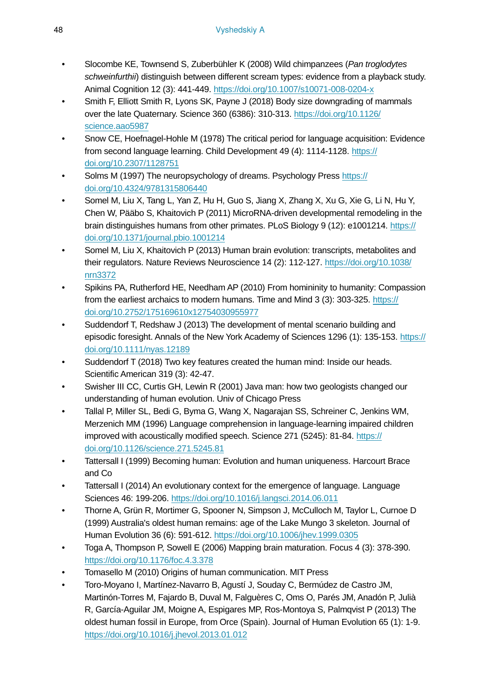- Slocombe KE, Townsend S, Zuberbühler K (2008) Wild chimpanzees (*Pan troglodytes schweinfurthii*) distinguish between different scream types: evidence from a playback study. Animal Cognition 12 (3): 441‑449.<https://doi.org/10.1007/s10071-008-0204-x>
- Smith F, Elliott Smith R, Lyons SK, Payne J (2018) Body size downgrading of mammals over the late Quaternary. Science 360 (6386): 310‑313. [https://doi.org/10.1126/](https://doi.org/10.1126/science.aao5987) [science.aao5987](https://doi.org/10.1126/science.aao5987)
- Snow CE, Hoefnagel-Hohle M (1978) The critical period for language acquisition: Evidence from second language learning. Child Development 49 (4): 1114-1128. [https://](https://doi.org/10.2307/1128751) [doi.org/10.2307/1128751](https://doi.org/10.2307/1128751)
- Solms M (1997) The neuropsychology of dreams. Psychology Press [https://](https://doi.org/10.4324/9781315806440) [doi.org/10.4324/9781315806440](https://doi.org/10.4324/9781315806440)
- Somel M, Liu X, Tang L, Yan Z, Hu H, Guo S, Jiang X, Zhang X, Xu G, Xie G, Li N, Hu Y, Chen W, Pääbo S, Khaitovich P (2011) MicroRNA-driven developmental remodeling in the brain distinguishes humans from other primates. PLoS Biology 9 (12): e1001214. [https://](https://doi.org/10.1371/journal.pbio.1001214) [doi.org/10.1371/journal.pbio.1001214](https://doi.org/10.1371/journal.pbio.1001214)
- Somel M, Liu X, Khaitovich P (2013) Human brain evolution: transcripts, metabolites and their regulators. Nature Reviews Neuroscience 14 (2): 112‑127. [https://doi.org/10.1038/](https://doi.org/10.1038/nrn3372) [nrn3372](https://doi.org/10.1038/nrn3372)
- Spikins PA, Rutherford HE, Needham AP (2010) From homininity to humanity: Compassion from the earliest archaics to modern humans. Time and Mind 3 (3): 303-325. [https://](https://doi.org/10.2752/175169610x12754030955977) [doi.org/10.2752/175169610x12754030955977](https://doi.org/10.2752/175169610x12754030955977)
- Suddendorf T, Redshaw J (2013) The development of mental scenario building and episodic foresight. Annals of the New York Academy of Sciences 1296 (1): 135-153. [https://](https://doi.org/10.1111/nyas.12189) [doi.org/10.1111/nyas.12189](https://doi.org/10.1111/nyas.12189)
- Suddendorf T (2018) Two key features created the human mind: Inside our heads. Scientific American 319 (3): 42-47.
- Swisher III CC, Curtis GH, Lewin R (2001) Java man: how two geologists changed our understanding of human evolution. Univ of Chicago Press
- Tallal P, Miller SL, Bedi G, Byma G, Wang X, Nagarajan SS, Schreiner C, Jenkins WM, Merzenich MM (1996) Language comprehension in language-learning impaired children improved with acoustically modified speech. Science 271 (5245): 81-84. [https://](https://doi.org/10.1126/science.271.5245.81) [doi.org/10.1126/science.271.5245.81](https://doi.org/10.1126/science.271.5245.81)
- Tattersall I (1999) Becoming human: Evolution and human uniqueness. Harcourt Brace and Co
- Tattersall I (2014) An evolutionary context for the emergence of language. Language Sciences 46: 199‑206. <https://doi.org/10.1016/j.langsci.2014.06.011>
- Thorne A, Grün R, Mortimer G, Spooner N, Simpson J, McCulloch M, Taylor L, Curnoe D (1999) Australia's oldest human remains: age of the Lake Mungo 3 skeleton. Journal of Human Evolution 36 (6): 591‑612. <https://doi.org/10.1006/jhev.1999.0305>
- Toga A, Thompson P, Sowell E (2006) Mapping brain maturation. Focus 4 (3): 378‑390. <https://doi.org/10.1176/foc.4.3.378>
- Tomasello M (2010) Origins of human communication. MIT Press
- Toro-Moyano I, Martínez-Navarro B, Agustí J, Souday C, Bermúdez de Castro JM, Martinón-Torres M, Fajardo B, Duval M, Falguères C, Oms O, Parés JM, Anadón P, Julià R, García-Aguilar JM, Moigne A, Espigares MP, Ros-Montoya S, Palmqvist P (2013) The oldest human fossil in Europe, from Orce (Spain). Journal of Human Evolution 65 (1): 1‑9. <https://doi.org/10.1016/j.jhevol.2013.01.012>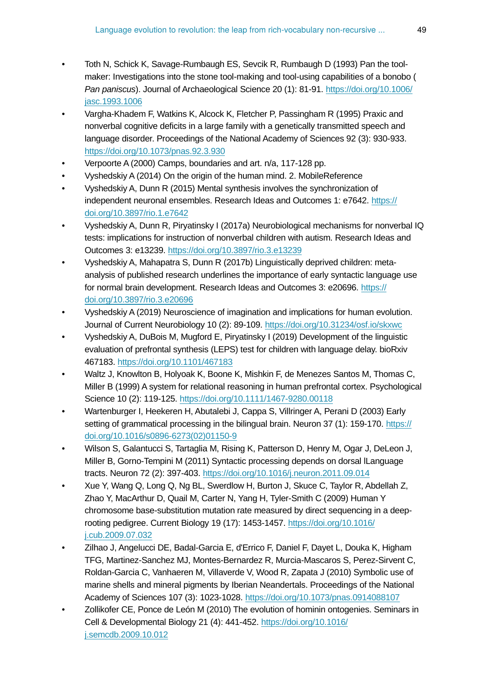- Toth N, Schick K, Savage-Rumbaugh ES, Sevcik R, Rumbaugh D (1993) Pan the toolmaker: Investigations into the stone tool-making and tool-using capabilities of a bonobo ( *Pan paniscus*). Journal of Archaeological Science 20 (1): 81‑91. [https://doi.org/10.1006/](https://doi.org/10.1006/jasc.1993.1006) [jasc.1993.1006](https://doi.org/10.1006/jasc.1993.1006)
- Vargha-Khadem F, Watkins K, Alcock K, Fletcher P, Passingham R (1995) Praxic and nonverbal cognitive deficits in a large family with a genetically transmitted speech and language disorder. Proceedings of the National Academy of Sciences 92 (3): 930‑933. <https://doi.org/10.1073/pnas.92.3.930>
- Verpoorte A (2000) Camps, boundaries and art. n/a, 117-128 pp.
- Vyshedskiy A (2014) On the origin of the human mind. 2. MobileReference
- Vyshedskiy A, Dunn R (2015) Mental synthesis involves the synchronization of independent neuronal ensembles. Research Ideas and Outcomes 1: e7642. [https://](https://doi.org/10.3897/rio.1.e7642) [doi.org/10.3897/rio.1.e7642](https://doi.org/10.3897/rio.1.e7642)
- Vyshedskiy A, Dunn R, Piryatinsky I (2017a) Neurobiological mechanisms for nonverbal IQ tests: implications for instruction of nonverbal children with autism. Research Ideas and Outcomes 3: e13239. <https://doi.org/10.3897/rio.3.e13239>
- Vyshedskiy A, Mahapatra S, Dunn R (2017b) Linguistically deprived children: metaanalysis of published research underlines the importance of early syntactic language use for normal brain development. Research Ideas and Outcomes 3: e20696. [https://](https://doi.org/10.3897/rio.3.e20696) [doi.org/10.3897/rio.3.e20696](https://doi.org/10.3897/rio.3.e20696)
- Vyshedskiy A (2019) Neuroscience of imagination and implications for human evolution. Journal of Current Neurobiology 10 (2): 89‑109.<https://doi.org/10.31234/osf.io/skxwc>
- Vyshedskiy A, DuBois M, Mugford E, Piryatinsky I (2019) Development of the linguistic evaluation of prefrontal synthesis (LEPS) test for children with language delay. bioRxiv 467183. <https://doi.org/10.1101/467183>
- Waltz J, Knowlton B, Holyoak K, Boone K, Mishkin F, de Menezes Santos M, Thomas C, Miller B (1999) A system for relational reasoning in human prefrontal cortex. Psychological Science 10 (2): 119‑125.<https://doi.org/10.1111/1467-9280.00118>
- Wartenburger I, Heekeren H, Abutalebi J, Cappa S, Villringer A, Perani D (2003) Early setting of grammatical processing in the bilingual brain. Neuron 37 (1): 159-170. [https://](https://doi.org/10.1016/s0896-6273(02)01150-9) [doi.org/10.1016/s0896-6273\(02\)01150-9](https://doi.org/10.1016/s0896-6273(02)01150-9)
- Wilson S, Galantucci S, Tartaglia M, Rising K, Patterson D, Henry M, Ogar J, DeLeon J, Miller B, Gorno-Tempini M (2011) Syntactic processing depends on dorsal lLanguage tracts. Neuron 72 (2): 397‑403. <https://doi.org/10.1016/j.neuron.2011.09.014>
- Xue Y, Wang Q, Long Q, Ng BL, Swerdlow H, Burton J, Skuce C, Taylor R, Abdellah Z, Zhao Y, MacArthur D, Quail M, Carter N, Yang H, Tyler-Smith C (2009) Human Y chromosome base-substitution mutation rate measured by direct sequencing in a deeprooting pedigree. Current Biology 19 (17): 1453‑1457. [https://doi.org/10.1016/](https://doi.org/10.1016/j.cub.2009.07.032) [j.cub.2009.07.032](https://doi.org/10.1016/j.cub.2009.07.032)
- Zilhao J, Angelucci DE, Badal-Garcia E, d'Errico F, Daniel F, Dayet L, Douka K, Higham TFG, Martinez-Sanchez MJ, Montes-Bernardez R, Murcia-Mascaros S, Perez-Sirvent C, Roldan-Garcia C, Vanhaeren M, Villaverde V, Wood R, Zapata J (2010) Symbolic use of marine shells and mineral pigments by Iberian Neandertals. Proceedings of the National Academy of Sciences 107 (3): 1023‑1028. <https://doi.org/10.1073/pnas.0914088107>
- Zollikofer CE, Ponce de León M (2010) The evolution of hominin ontogenies. Seminars in Cell & Developmental Biology 21 (4): 441‑452. [https://doi.org/10.1016/](https://doi.org/10.1016/j.semcdb.2009.10.012) [j.semcdb.2009.10.012](https://doi.org/10.1016/j.semcdb.2009.10.012)